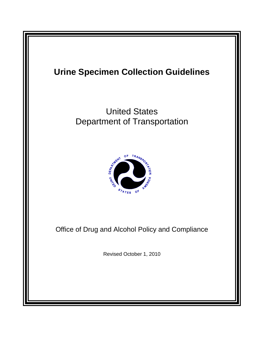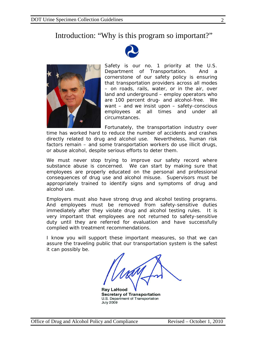# Introduction: "Why is this program so important?"





Safety is our no. 1 priority at the U.S. Department of Transportation. And a cornerstone of our safety policy is ensuring that transportation providers across all modes – on roads, rails, water, or in the air, over land and underground – employ operators who are 100 percent drug- and alcohol-free. We want – and we insist upon – safety-conscious employees at all times and under all circumstances.

Fortunately, the transportation industry over time has worked hard to reduce the number of accidents and crashes directly related to drug and alcohol use. Nevertheless, human risk factors remain – and some transportation workers do use illicit drugs, or abuse alcohol, despite serious efforts to deter them.

We must never stop trying to improve our safety record where substance abuse is concerned. We can start by making sure that employees are properly educated on the personal and professional consequences of drug use and alcohol misuse. Supervisors must be appropriately trained to identify signs and symptoms of drug and alcohol use.

Employers must also have strong drug and alcohol testing programs. And employees must be removed from safety-sensitive duties immediately after they violate drug and alcohol testing rules. It is very important that employees are not returned to safety-sensitive duty until they are referred for evaluation and have successfully complied with treatment recommendations.

I know you will support these important measures, so that we can assure the traveling public that our transportation system is the safest it can possibly be.

**Ray LaHood Secretary of Transportation** U.S. Department of Transportation **July 2009**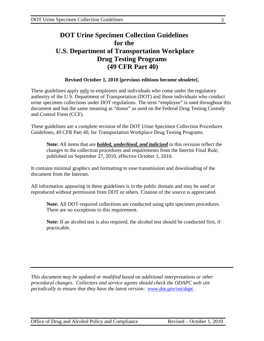# **DOT Urine Specimen Collection Guidelines for the U.S. Department of Transportation Workplace Drug Testing Programs (49 CFR Part 40)**

#### **Revised October 1, 2010 [previous editions become obsolete].**

These guidelines apply only to employers and individuals who come under the regulatory authority of the U.S. Department of Transportation (DOT) and those individuals who conduct urine specimen collections under DOT regulations. The term "employee" is used throughout this document and has the same meaning as "donor" as used on the Federal Drug Testing Custody and Control Form (CCF).

These guidelines are a complete revision of the DOT Urine Specimen Collection Procedures Guidelines, 49 CFR Part 40, for Transportation Workplace Drug Testing Programs.

**Note:** All items that are *bolded, underlined, and italicized* in this revision reflect the changes to the collection procedures and requirements from the Interim Final Rule, published on September 27, 2010, effective October 1, 2010.

It contains minimal graphics and formatting to ease transmission and downloading of the document from the Internet.

All information appearing in these guidelines is in the public domain and may be used or reproduced without permission from DOT or others. Citation of the source is appreciated.

**Note:** All DOT-required collections are conducted using split specimen procedures. There are no exceptions to this requirement.

**Note:** If an alcohol test is also required, the alcohol test should be conducted first, if practicable.

*This document may be updated or modified based on additional interpretations or other procedural changes. Collectors and service agents should check the ODAPC web site periodically to ensure that they have the latest version: [www.dot.gov/ost/dapc](http://www.dot.gov/ost/dapc) .*

3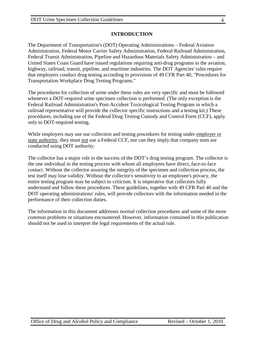## **INTRODUCTION**

The Department of Transportation's (DOT) Operating Administrations – Federal Aviation Administration, Federal Motor Carrier Safety Administration, Federal Railroad Administration, Federal Transit Administration, Pipeline and Hazardous Materials Safety Administration – and United States Coast Guard have issued regulations requiring anti-drug programs in the aviation, highway, railroad, transit, pipeline, and maritime industries. The DOT Agencies' rules require that employers conduct drug testing according to provisions of 49 CFR Part 40, "Procedures for Transportation Workplace Drug Testing Programs."

The procedures for collection of urine under these rules are very specific and must be followed whenever a DOT-required urine specimen collection is performed. (The only exception is the Federal Railroad Administration's Post-Accident Toxicological Testing Program in which a railroad representative will provide the collector specific instructions and a testing kit.) These procedures, including use of the Federal Drug Testing Custody and Control Form (CCF), apply only to DOT-required testing.

While employers may use our collection and testing procedures for testing under employer or state authority, they must not use a Federal CCF, nor can they imply that company tests are conducted using DOT authority.

The collector has a major role in the success of the DOT's drug testing program. The collector is the one individual in the testing process with whom all employees have direct, face-to-face contact. Without the collector assuring the integrity of the specimen and collection process, the test itself may lose validity. Without the collector's sensitivity to an employee's privacy, the entire testing program may be subject to criticism. It is imperative that collectors fully understand and follow these procedures. These guidelines, together with 49 CFR Part 40 and the DOT operating administrations' rules, will provide collectors with the information needed in the performance of their collection duties.

The information in this document addresses normal collection procedures and some of the more common problems or situations encountered. However, information contained in this publication should not be used to interpret the legal requirements of the actual rule.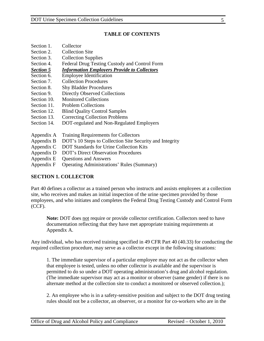## **TABLE OF CONTENTS**

- Section 1. Collector
- Section 2. Collection Site
- Section 3. Collection Supplies
- Section 4. Federal Drug Testing Custody and Control Form
- *Section 5 Information Employers Provide to Collectors*

Section 6. Employee Identification

- Section 7. Collection Procedures
- Section 8. Shy Bladder Procedures
- Section 9. Directly Observed Collections
- Section 10. Monitored Collections
- Section 11. Problem Collections
- Section 12. Blind Quality Control Samples
- Section 13. Correcting Collection Problems
- Section 14. DOT-regulated and Non-Regulated Employers
- Appendix A Training Requirements for Collectors
- Appendix B DOT's 10 Steps to Collection Site Security and Integrity
- Appendix C DOT Standards for Urine Collection Kits
- Appendix D DOT's Direct Observation Procedures
- Appendix E Questions and Answers
- Appendix F Operating Administrations' Rules (Summary)

# **SECTION 1. COLLECTOR**

Part 40 defines a collector as a trained person who instructs and assists employees at a collection site, who receives and makes an initial inspection of the urine specimen provided by those employees, and who initiates and completes the Federal Drug Testing Custody and Control Form (CCF).

**Note:** DOT does not require or provide collector certification. Collectors need to have documentation reflecting that they have met appropriate training requirements at Appendix A.

Any individual, who has received training specified in 49 CFR Part 40 (40.33) for conducting the required collection procedure, may serve as a collector except in the following situations:

1. The immediate supervisor of a particular employee may not act as the collector when that employee is tested, unless no other collector is available and the supervisor is permitted to do so under a DOT operating administration's drug and alcohol regulation. (The immediate supervisor may act as a monitor or observer (same gender) if there is no alternate method at the collection site to conduct a monitored or observed collection.);

2. An employee who is in a safety-sensitive position and subject to the DOT drug testing rules should not be a collector, an observer, or a monitor for co-workers who are in the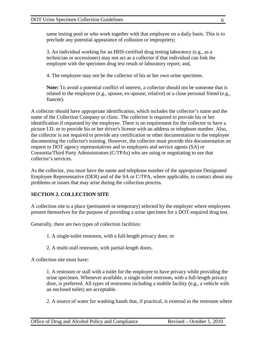same testing pool or who work together with that employee on a daily basis. This is to preclude any potential appearance of collusion or impropriety;

3. An individual working for an HHS-certified drug testing laboratory (e.g., as a technician or accessioner) may not act as a collector if that individual can link the employee with the specimen drug test result or laboratory report; and,

4. The employee may not be the collector of his or her own urine specimen.

**Note:** To avoid a potential conflict of interest, a collector should not be someone that is related to the employee (e.g., spouse, ex-spouse, relative) or a close personal friend (e.g., fiancée).

A collector should have appropriate identification, which includes the collector's name and the name of the Collection Company or clinic. The collector is required to provide his or her identification if requested by the employee. There is no requirement for the collector to have a picture I.D. or to provide his or her driver's license with an address or telephone number. Also, the collector is not required to provide any certification or other documentation to the employee documenting the collector's training. However, the collector must provide this documentation on request to DOT agency representatives and to employers and service agents (SA) or Consortia/Third Party Administrators (C/TPAs) who are using or negotiating to use that collector's services.

As the collector, you must have the name and telephone number of the appropriate Designated Employee Representative (DER) and of the SA or C/TPA, where applicable, to contact about any problems or issues that may arise during the collection process.

## **SECTION 2. COLLECTION SITE**

A collection site is a place (permanent or temporary) selected by the employer where employees present themselves for the purpose of providing a urine specimen for a DOT-required drug test.

Generally, there are two types of collection facilities:

- 1. A single-toilet restroom, with a full-length privacy door, or
- 2. A multi-stall restroom, with partial-length doors.

A collection site must have:

1. A restroom or stall with a toilet for the employee to have privacy while providing the urine specimen. Whenever available, a single toilet restroom, with a full-length privacy door, is preferred. All types of restrooms including a mobile facility (e.g., a vehicle with an enclosed toilet) are acceptable.

2. A source of water for washing hands that, if practical, is external to the restroom where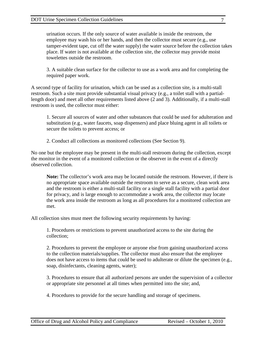urination occurs. If the only source of water available is inside the restroom, the employee may wash his or her hands, and then the collector must secure (e.g., use tamper-evident tape, cut off the water supply) the water source before the collection takes place. If water is not available at the collection site, the collector may provide moist towelettes outside the restroom.

3. A suitable clean surface for the collector to use as a work area and for completing the required paper work.

A second type of facility for urination, which can be used as a collection site, is a multi-stall restroom. Such a site must provide substantial visual privacy (e.g., a toilet stall with a partiallength door) and meet all other requirements listed above (2 and 3). Additionally, if a multi-stall restroom is used, the collector must either:

1. Secure all sources of water and other substances that could be used for adulteration and substitution (e.g., water faucets, soap dispensers) and place bluing agent in all toilets or secure the toilets to prevent access; or

2. Conduct all collections as monitored collections (See Section 9).

No one but the employee may be present in the multi-stall restroom during the collection, except the monitor in the event of a monitored collection or the observer in the event of a directly observed collection.

**Note:** The collector's work area may be located outside the restroom. However, if there is no appropriate space available outside the restroom to serve as a secure, clean work area and the restroom is either a multi-stall facility or a single stall facility with a partial door for privacy, and is large enough to accommodate a work area, the collector may locate the work area inside the restroom as long as all procedures for a monitored collection are met.

All collection sites must meet the following security requirements by having:

1. Procedures or restrictions to prevent unauthorized access to the site during the collection;

2. Procedures to prevent the employee or anyone else from gaining unauthorized access to the collection materials/supplies. The collector must also ensure that the employee does not have access to items that could be used to adulterate or dilute the specimen (e.g., soap, disinfectants, cleaning agents, water);

3. Procedures to ensure that all authorized persons are under the supervision of a collector or appropriate site personnel at all times when permitted into the site; and,

4. Procedures to provide for the secure handling and storage of specimens.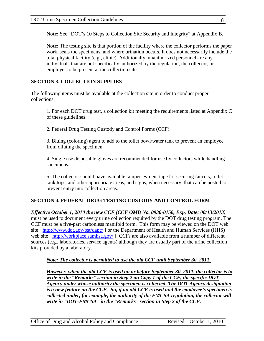**Note:** See "DOT's 10 Steps to Collection Site Security and Integrity" at Appendix B.

**Note:** The testing site is that portion of the facility where the collector performs the paper work, seals the specimens, and where urination occurs. It does not necessarily include the total physical facility (e.g., clinic). Additionally, unauthorized personnel are any individuals that are not specifically authorized by the regulation, the collector, or employer to be present at the collection site.

## **SECTION 3. COLLECTION SUPPLIES**

The following items must be available at the collection site in order to conduct proper collections:

1. For each DOT drug test, a collection kit meeting the requirements listed at Appendix C of these guidelines.

2. Federal Drug Testing Custody and Control Forms (CCF).

3. Bluing (coloring) agent to add to the toilet bowl/water tank to prevent an employee from diluting the specimen.

4. Single use disposable gloves are recommended for use by collectors while handling specimens.

5. The collector should have available tamper-evident tape for securing faucets, toilet tank tops, and other appropriate areas, and signs, when necessary, that can be posted to prevent entry into collection areas.

# **SECTION 4. FEDERAL DRUG TESTING CUSTODY AND CONTROL FORM**

*Effective October 1, 2010 the new CCF (CCF OMB No. 0930-0158, Exp. Date: 08/13/2013)* must be used to document every urine collection required by the DOT drug testing program. The CCF must be a five-part carbonless manifold form. This form may be viewed on the DOT web site [ <http://www.dot.gov/ost/dapc/> ] or the Department of Health and Human Services (HHS) web site [ <http://workplace.samhsa.gov/> ]. CCFs are also available from a number of different sources (e.g., laboratories, service agents) although they are usually part of the urine collection kits provided by a laboratory.

## *Note: The collector is permitted to use the old CCF until September 30, 2011.*

*However, when the old CCF is used on or before September 30, 2011, the collector is to write in the "Remarks" section in Step 2 on Copy 1 of the CCF, the specific DOT Agency under whose authority the specimen is collected. The DOT Agency designation is a new feature on the CCF. So, if an old CCF is used and the employee's specimen is collected under, for example, the authority of the FMCSA regulation, the collector will write in "DOT-FMCSA" in the "Remarks" section in Step 2 of the CCF.*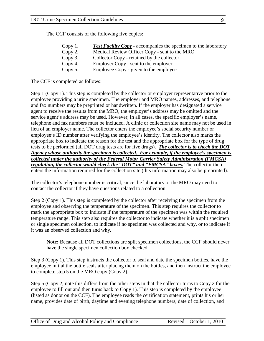The CCF consists of the following five copies:

| Copy 1. | <b>Test Facility Copy</b> - accompanies the specimen to the laboratory |
|---------|------------------------------------------------------------------------|
| Copy 2. | Medical Review Officer Copy - sent to the MRO                          |
| Copy 3. | Collector Copy - retained by the collector                             |
| Copy 4. | Employer Copy - sent to the employer                                   |
| Copy 5. | Employee Copy - given to the employee                                  |

The CCF is completed as follows:

Step 1 (Copy 1). This step is completed by the collector or employer representative prior to the employee providing a urine specimen. The employer and MRO names, addresses, and telephone and fax numbers may be preprinted or handwritten. If the employer has designated a service agent to receive the results from the MRO, the employer's address may be omitted and the service agent's address may be used. However, in all cases, the specific employer's name, telephone and fax numbers must be included. A clinic or collection site name may not be used in lieu of an employer name. The collector enters the employee's social security number or employee's ID number after verifying the employee's identity. The collector also marks the appropriate box to indicate the reason for the test and the appropriate box for the type of drug tests to be performed (all DOT drug tests are for five drugs). *The collector is to check the DOT Agency whose authority the specimen is collected. For example, if the employee's specimen is collected under the authority of the Federal Motor Carrier Safety Administration (FMCSA) regulation, the collector would check the "DOT" and "FMCSA" boxes.* The collector then enters the information required for the collection site (this information may also be preprinted).

The collector's telephone number is critical, since the laboratory or the MRO may need to contact the collector if they have questions related to a collection.

Step 2 (Copy 1). This step is completed by the collector after receiving the specimen from the employee and observing the temperature of the specimen. This step requires the collector to mark the appropriate box to indicate if the temperature of the specimen was within the required temperature range. This step also requires the collector to indicate whether it is a split specimen or single specimen collection, to indicate if no specimen was collected and why, or to indicate if it was an observed collection and why.

**Note:** Because all DOT collections are split specimen collections, the CCF should never have the single specimen collection box checked.

Step 3 (Copy 1). This step instructs the collector to seal and date the specimen bottles, have the employee initial the bottle seals after placing them on the bottles, and then instruct the employee to complete step 5 on the MRO copy (Copy 2).

Step 5 (Copy 2; note this differs from the other steps in that the collector turns to Copy 2 for the employee to fill out and then turns back to Copy 1). This step is completed by the employee (listed as donor on the CCF). The employee reads the certification statement, prints his or her name, provides date of birth, daytime and evening telephone numbers, date of collection, and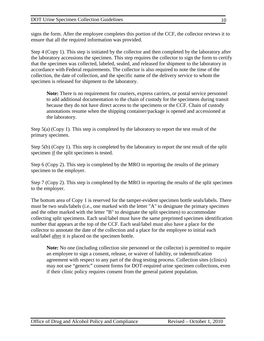signs the form. After the employee completes this portion of the CCF, the collector reviews it to ensure that all the required information was provided.

Step 4 (Copy 1). This step is initiated by the collector and then completed by the laboratory after the laboratory accessions the specimen. This step requires the collector to sign the form to certify that the specimen was collected, labeled, sealed, and released for shipment to the laboratory in accordance with Federal requirements. The collector is also required to note the time of the collection, the date of collection, and the specific name of the delivery service to whom the specimen is released for shipment to the laboratory.

**Note:** There is no requirement for couriers, express carriers, or postal service personnel to add additional documentation to the chain of custody for the specimens during transit because they do not have direct access to the specimens or the CCF. Chain of custody annotations resume when the shipping container/package is opened and accessioned at the laboratory.

Step 5(a) (Copy 1). This step is completed by the laboratory to report the test result of the primary specimen.

Step 5(b) (Copy 1). This step is completed by the laboratory to report the test result of the split specimen if the split specimen is tested.

Step 6 (Copy 2). This step is completed by the MRO in reporting the results of the primary specimen to the employer.

Step 7 (Copy 2). This step is completed by the MRO in reporting the results of the split specimen to the employer.

The bottom area of Copy 1 is reserved for the tamper-evident specimen bottle seals/labels. There must be two seals/labels (i.e., one marked with the letter "A" to designate the primary specimen and the other marked with the letter "B" to designate the split specimen) to accommodate collecting split specimens. Each seal/label must have the same preprinted specimen identification number that appears at the top of the CCF. Each seal/label must also have a place for the collector to annotate the date of the collection and a place for the employee to initial each seal/label <u>after</u> it is placed on the specimen bottle.

**Note:** No one (including collection site personnel or the collector) is permitted to require an employee to sign a consent, release, or waiver of liability, or indemnification agreement with respect to any part of the drug testing process. Collection sites (clinics) may not use "generic" consent forms for DOT-required urine specimen collections, even if their clinic policy requires consent from the general patient population.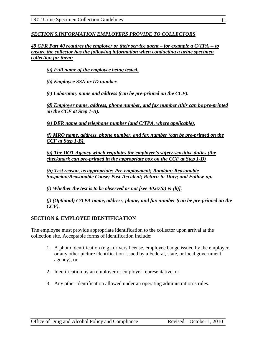*SECTION 5.INFORMATION EMPLOYERS PROVIDE TO COLLECTORS*

*49 CFR Part 40 requires the employer or their service agent – for example a C/TPA -- to ensure the collector has the following information when conducting a urine specimen collection for them:*

*(a) Full name of the employee being tested.*

*(b) Employee SSN or ID number.*

*(c) Laboratory name and address (can be pre-printed on the CCF).*

*(d) Employer name, address, phone number, and fax number (this can be pre-printed on the CCF at Step 1-A).* 

*(e) DER name and telephone number (and C/TPA, where applicable).*

*(f) MRO name, address, phone number, and fax number (can be pre-printed on the CCF at Step 1-B).*

*(g) The DOT Agency which regulates the employee's safety-sensitive duties (the checkmark can pre-printed in the appropriate box on the CCF at Step 1-D)*

*(h) Test reason, as appropriate: Pre-employment; Random; Reasonable Suspicion/Reasonable Cause; Post-Accident; Return-to-Duty; and Follow-up.*

*(i) Whether the test is to be observed or not [see 40.67(a) & (b)].*

*(j) (Optional) C/TPA name, address, phone, and fax number (can be pre-printed on the CCF).*

#### **SECTION 6. EMPLOYEE IDENTIFICATION**

The employee must provide appropriate identification to the collector upon arrival at the collection site. Acceptable forms of identification include:

- 1. A photo identification (e.g., drivers license, employee badge issued by the employer, or any other picture identification issued by a Federal, state, or local government agency), or
- 2. Identification by an employer or employer representative, or
- 3. Any other identification allowed under an operating administration's rules.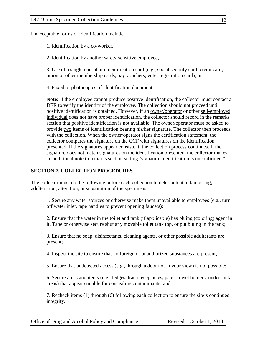Unacceptable forms of identification include:

1. Identification by a co-worker,

2. Identification by another safety-sensitive employee,

3. Use of a single non-photo identification card (e.g., social security card, credit card, union or other membership cards, pay vouchers, voter registration card), or

4. Faxed or photocopies of identification document.

**Note:** If the employee cannot produce positive identification, the collector must contact a DER to verify the identity of the employee. The collection should not proceed until positive identification is obtained. However, if an owner/operator or other self-employed individual does not have proper identification, the collector should record in the remarks section that positive identification is not available. The owner/operator must be asked to provide two items of identification bearing his/her signature. The collector then proceeds with the collection. When the owner/operator signs the certification statement, the collector compares the signature on the CCF with signatures on the identification presented. If the signatures appear consistent, the collection process continues. If the signature does not match signatures on the identification presented, the collector makes an additional note in remarks section stating "signature identification is unconfirmed."

#### **SECTION 7. COLLECTION PROCEDURES**

The collector must do the following before each collection to deter potential tampering, adulteration, alteration, or substitution of the specimens:

1. Secure any water sources or otherwise make them unavailable to employees (e.g., turn off water inlet, tape handles to prevent opening faucets);

2. Ensure that the water in the toilet and tank (if applicable) has bluing (coloring) agent in it. Tape or otherwise secure shut any movable toilet tank top, or put bluing in the tank;

3. Ensure that no soap, disinfectants, cleaning agents, or other possible adulterants are present;

4. Inspect the site to ensure that no foreign or unauthorized substances are present;

5. Ensure that undetected access (e.g., through a door not in your view) is not possible;

6. Secure areas and items (e.g., ledges, trash receptacles, paper towel holders, under-sink areas) that appear suitable for concealing contaminants; and

7. Recheck items (1) through (6) following each collection to ensure the site's continued integrity.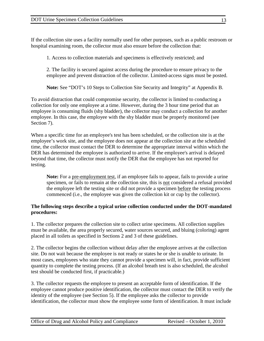If the collection site uses a facility normally used for other purposes, such as a public restroom or hospital examining room, the collector must also ensure before the collection that:

1. Access to collection materials and specimens is effectively restricted; and

2. The facility is secured against access during the procedure to ensure privacy to the employee and prevent distraction of the collector. Limited-access signs must be posted.

**Note:** See "DOT's 10 Steps to Collection Site Security and Integrity" at Appendix B.

To avoid distraction that could compromise security, the collector is limited to conducting a collection for only one employee at a time. However, during the 3 hour time period that an employee is consuming fluids (shy bladder), the collector may conduct a collection for another employee. In this case, the employee with the shy bladder must be properly monitored (see Section 7).

When a specific time for an employee's test has been scheduled, or the collection site is at the employee's work site, and the employee does not appear at the collection site at the scheduled time, the collector must contact the DER to determine the appropriate interval within which the DER has determined the employee is authorized to arrive. If the employee's arrival is delayed beyond that time, the collector must notify the DER that the employee has not reported for testing.

Note: For a pre-employment test, if an employee fails to appear, fails to provide a urine specimen, or fails to remain at the collection site, this is not considered a refusal provided the employee left the testing site or did not provide a specimen before the testing process commenced (i.e., the employee was given the collection kit or cup by the collector).

#### **The following steps describe a typical urine collection conducted under the DOT-mandated procedures:**

1. The collector prepares the collection site to collect urine specimens. All collection supplies must be available, the area properly secured, water sources secured, and bluing (coloring) agent placed in all toilets as specified in Sections 2 and 3 of these guidelines.

2. The collector begins the collection without delay after the employee arrives at the collection site. Do not wait because the employee is not ready or states he or she is unable to urinate. In most cases, employees who state they cannot provide a specimen will, in fact, provide sufficient quantity to complete the testing process. (If an alcohol breath test is also scheduled, the alcohol test should be conducted first, if practicable.)

3. The collector requests the employee to present an acceptable form of identification. If the employee cannot produce positive identification, the collector must contact the DER to verify the identity of the employee (see Section 5). If the employee asks the collector to provide identification, the collector must show the employee some form of identification. It must include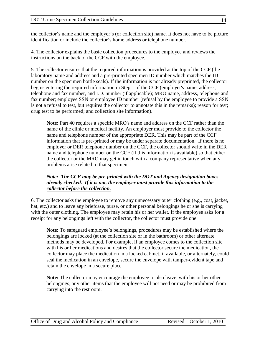the collector's name and the employer's (or collection site) name. It does not have to be picture identification or include the collector's home address or telephone number.

4. The collector explains the basic collection procedures to the employee and reviews the instructions on the back of the CCF with the employee.

5. The collector ensures that the required information is provided at the top of the CCF (the laboratory name and address and a pre-printed specimen ID number which matches the ID number on the specimen bottle seals). If the information is not already preprinted, the collector begins entering the required information in Step 1 of the CCF (employer's name, address, telephone and fax number, and I.D. number (if applicable); MRO name, address, telephone and fax number; employee SSN or employee ID number (refusal by the employee to provide a SSN is not a refusal to test, but requires the collector to annotate this in the remarks); reason for test; drug test to be performed; and collection site information).

**Note:** Part 40 requires a specific MRO's name and address on the CCF rather than the name of the clinic or medical facility. An employer must provide to the collector the name and telephone number of the appropriate DER. This may be part of the CCF information that is pre-printed or may be under separate documentation. If there is no employer or DER telephone number on the CCF, the collector should write in the DER name and telephone number on the CCF (if this information is available) so that either the collector or the MRO may get in touch with a company representative when any problems arise related to that specimen.

#### *Note: The CCF may be pre-printed with the DOT and Agency designation boxes already checked. If it is not, the employer must provide this information to the collector before the collection.*

6. The collector asks the employee to remove any unnecessary outer clothing (e.g., coat, jacket, hat, etc.) and to leave any briefcase, purse, or other personal belongings he or she is carrying with the outer clothing. The employee may retain his or her wallet. If the employee asks for a receipt for any belongings left with the collector, the collector must provide one.

**Note:** To safeguard employee's belongings, procedures may be established where the belongings are locked (at the collection site or in the bathroom) or other alternate methods may be developed. For example, if an employee comes to the collection site with his or her medications and desires that the collector secure the medication, the collector may place the medication in a locked cabinet, if available, or alternately, could seal the medication in an envelope, secure the envelope with tamper-evident tape and retain the envelope in a secure place.

**Note:** The collector may encourage the employee to also leave, with his or her other belongings, any other items that the employee will not need or may be prohibited from carrying into the restroom.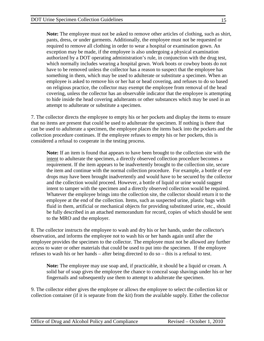**Note:** The employee must not be asked to remove other articles of clothing, such as shirt, pants, dress, or under garments. Additionally, the employee must not be requested or required to remove all clothing in order to wear a hospital or examination gown. An exception may be made, if the employee is also undergoing a physical examination authorized by a DOT operating administration's rule, in conjunction with the drug test, which normally includes wearing a hospital gown. Work boots or cowboy boots do not have to be removed unless the collector has a reason to suspect that the employee has something in them, which may be used to adulterate or substitute a specimen. When an employee is asked to remove his or her hat or head covering, and refuses to do so based on religious practice, the collector may exempt the employee from removal of the head covering, unless the collector has an observable indicator that the employee is attempting to hide inside the head covering adulterants or other substances which may be used in an attempt to adulterate or substitute a specimen.

7. The collector directs the employee to empty his or her pockets and display the items to ensure that no items are present that could be used to adulterate the specimen. If nothing is there that can be used to adulterate a specimen, the employee places the items back into the pockets and the collection procedure continues. If the employee refuses to empty his or her pockets, this is considered a refusal to cooperate in the testing process.

**Note:** If an item is found that appears to have been brought to the collection site with the intent to adulterate the specimen, a directly observed collection procedure becomes a requirement. If the item appears to be inadvertently brought to the collection site, secure the item and continue with the normal collection procedure. For example, a bottle of eye drops may have been brought inadvertently and would have to be secured by the collector and the collection would proceed. However, a bottle of liquid or urine would suggest intent to tamper with the specimen and a directly observed collection would be required. Whatever the employee brings into the collection site, the collector should return it to the employee at the end of the collection. Items, such as suspected urine, plastic bags with fluid in them, artificial or mechanical objects for providing substituted urine, etc., should be fully described in an attached memorandum for record, copies of which should be sent to the MRO and the employer.

8. The collector instructs the employee to wash and dry his or her hands, under the collector's observation, and informs the employee not to wash his or her hands again until after the employee provides the specimen to the collector. The employee must not be allowed any further access to water or other materials that could be used to put into the specimen. If the employee refuses to wash his or her hands – after being directed to do so – this is a refusal to test.

**Note:** The employee may use soap and, if practicable, it should be a liquid or cream. A solid bar of soap gives the employee the chance to conceal soap shavings under his or her fingernails and subsequently use them to attempt to adulterate the specimen.

9. The collector either gives the employee or allows the employee to select the collection kit or collection container (if it is separate from the kit) from the available supply. Either the collector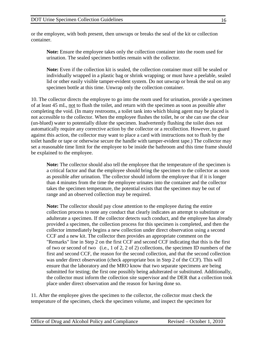or the employee, with both present, then unwraps or breaks the seal of the kit or collection container.

**Note:** Ensure the employee takes only the collection container into the room used for urination. The sealed specimen bottles remain with the collector.

**Note:** Even if the collection kit is sealed, the collection container must still be sealed or individually wrapped in a plastic bag or shrink wrapping; or must have a peelable, sealed lid or other easily visible tamper-evident system. Do not unwrap or break the seal on any specimen bottle at this time. Unwrap only the collection container.

10. The collector directs the employee to go into the room used for urination, provide a specimen of at least 45 mL, not to flush the toilet, and return with the specimen as soon as possible after completing the void. (In many restrooms, a toilet tank into which bluing agent may be placed is not accessible to the collector. When the employee flushes the toilet, he or she can use the clear (un-blued) water to potentially dilute the specimen. Inadvertently flushing the toilet does not automatically require any corrective action by the collector or a recollection. However, to guard against this action, the collector may want to place a card with instructions not to flush by the toilet handle or tape or otherwise secure the handle with tamper-evident tape.) The collector may set a reasonable time limit for the employee to be inside the bathroom and this time frame should be explained to the employee.

**Note:** The collector should also tell the employee that the temperature of the specimen is a critical factor and that the employee should bring the specimen to the collector as soon as possible after urination. The collector should inform the employee that if it is longer than 4 minutes from the time the employee urinates into the container and the collector takes the specimen temperature, the potential exists that the specimen may be out of range and an observed collection may be required.

**Note:** The collector should pay close attention to the employee during the entire collection process to note any conduct that clearly indicates an attempt to substitute or adulterate a specimen. If the collector detects such conduct, and the employee has already provided a specimen, the collection process for this specimen is completed, and then the collector immediately begins a new collection under direct observation using a second CCF and a new kit. The collector then provides an appropriate comment on the "Remarks" line in Step 2 on the first CCF and second CCF indicating that this is the first of two or second of two (i.e., 1 of 2, 2 of 2) collections, the specimen ID numbers of the first and second CCF, the reason for the second collection, and that the second collection was under direct observation (check appropriate box in Step 2 of the CCF). This will ensure that the laboratory and the MRO know that two separate specimens are being submitted for testing; the first one possibly being adulterated or substituted. Additionally, the collector must inform the collection site supervisor and the DER that a collection took place under direct observation and the reason for having done so.

11. After the employee gives the specimen to the collector, the collector must check the temperature of the specimen, check the specimen volume, and inspect the specimen for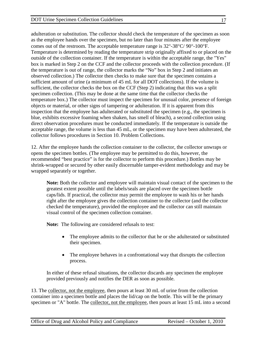adulteration or substitution. The collector should check the temperature of the specimen as soon as the employee hands over the specimen, but no later than four minutes after the employee comes out of the restroom. The acceptable temperature range is 32°-38°C/ 90°-100°F. Temperature is determined by reading the temperature strip originally affixed to or placed on the outside of the collection container. If the temperature is within the acceptable range, the "Yes" box is marked in Step 2 on the CCF and the collector proceeds with the collection procedure. (If the temperature is out of range, the collector marks the "No" box in Step 2 and initiates an observed collection.) The collector then checks to make sure that the specimen contains a sufficient amount of urine (a minimum of 45 mL for all DOT collections). If the volume is sufficient, the collector checks the box on the CCF (Step 2) indicating that this was a split specimen collection. (This may be done at the same time that the collector checks the temperature box.) The collector must inspect the specimen for unusual color, presence of foreign objects or material, or other signs of tampering or adulteration. If it is apparent from this inspection that the employee has adulterated or substituted the specimen (e.g., the specimen is blue, exhibits excessive foaming when shaken, has smell of bleach), a second collection using direct observation procedures must be conducted immediately. If the temperature is outside the acceptable range, the volume is less than 45 mL, or the specimen may have been adulterated, the collector follows procedures in Section 10. Problem Collections.

12. After the employee hands the collection container to the collector, the collector unwraps or opens the specimen bottles. (The employee may be permitted to do this, however, the recommended "best practice" is for the collector to perform this procedure.) Bottles may be shrink-wrapped or secured by other easily discernable tamper-evident methodology and may be wrapped separately or together.

**Note:** Both the collector and employee will maintain visual contact of the specimen to the greatest extent possible until the labels/seals are placed over the specimen bottle caps/lids. If practical, the collector may permit the employee to wash his or her hands right after the employee gives the collection container to the collector (and the collector checked the temperature), provided the employee and the collector can still maintain visual control of the specimen collection container.

**Note:** The following are considered refusals to test:

- The employee admits to the collector that he or she adulterated or substituted their specimen.
- The employee behaves in a confrontational way that disrupts the collection process.

In either of these refusal situations, the collector discards any specimen the employee provided previously and notifies the DER as soon as possible.

13. The collector, not the employee, then pours at least 30 mL of urine from the collection container into a specimen bottle and places the lid/cap on the bottle. This will be the primary specimen or "A" bottle. The collector, not the employee, then pours at least 15 mL into a second

Office of Drug and Alcohol Policy and Compliance Revised – October 1, 2010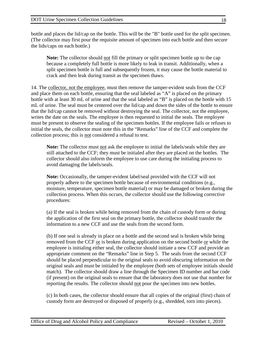bottle and places the lid/cap on the bottle. This will be the "B" bottle used for the split specimen. (The collector may first pour the requisite amount of specimen into each bottle and then secure the lids/caps on each bottle.)

**Note:** The collector should not fill the primary or split specimen bottle up to the cap because a completely full bottle is more likely to leak in transit. Additionally, when a split specimen bottle is full and subsequently frozen, it may cause the bottle material to crack and then leak during transit as the specimen thaws.

14. The collector, not the employee, must then remove the tamper-evident seals from the CCF and place them on each bottle, ensuring that the seal labeled as "A" is placed on the primary bottle with at least 30 mL of urine and that the seal labeled as "B" is placed on the bottle with 15 mL of urine. The seal must be centered over the lid/cap and down the sides of the bottle to ensure that the lid/cap cannot be removed without destroying the seal. The collector, not the employee, writes the date on the seals. The employee is then requested to initial the seals. The employee must be present to observe the sealing of the specimen bottles. If the employee fails or refuses to initial the seals, the collector must note this in the "Remarks" line of the CCF and complete the collection process; this is not considered a refusal to test.

**Note:** The collector must not ask the employee to initial the labels/seals while they are still attached to the CCF; they must be initialed after they are placed on the bottles. The collector should also inform the employee to use care during the initialing process to avoid damaging the labels/seals.

**Note:** Occasionally, the tamper-evident label/seal provided with the CCF will not properly adhere to the specimen bottle because of environmental conditions (e.g., moisture, temperature, specimen bottle material) or may be damaged or broken during the collection process. When this occurs, the collector should use the following corrective procedures:

(a) If the seal is broken while being removed from the chain of custody form or during the application of the first seal on the primary bottle, the collector should transfer the information to a new CCF and use the seals from the second form.

(b) If one seal is already in place on a bottle and the second seal is broken while being removed from the CCF or is broken during application on the second bottle or while the employee is initialing either seal, the collector should initiate a new CCF and provide an appropriate comment on the "Remarks" line in Step 5. The seals from the second CCF should be placed perpendicular to the original seals to avoid obscuring information on the original seals and must be initialed by the employee (both sets of employee initials should match). The collector should draw a line through the Specimen ID number and bar code (if present) on the original seals to ensure that the laboratory does not use that number for reporting the results. The collector should not pour the specimen into new bottles.

(c) In both cases, the collector should ensure that all copies of the original (first) chain of custody form are destroyed or disposed of properly (e.g., shredded, torn into pieces).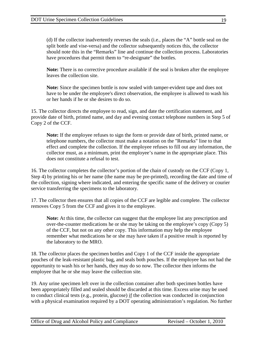(d) If the collector inadvertently reverses the seals (i.e., places the "A" bottle seal on the split bottle and vise-versa) and the collector subsequently notices this, the collector should note this in the "Remarks" line and continue the collection process. Laboratories have procedures that permit them to "re-designate" the bottles.

**Note:** There is no corrective procedure available if the seal is broken after the employee leaves the collection site.

**Note:** Since the specimen bottle is now sealed with tamper-evident tape and does not have to be under the employee's direct observation, the employee is allowed to wash his or her hands if he or she desires to do so.

15. The collector directs the employee to read, sign, and date the certification statement, and provide date of birth, printed name, and day and evening contact telephone numbers in Step 5 of Copy 2 of the CCF.

**Note:** If the employee refuses to sign the form or provide date of birth, printed name, or telephone numbers, the collector must make a notation on the "Remarks" line to that effect and complete the collection. If the employee refuses to fill out any information, the collector must, as a minimum, print the employee's name in the appropriate place. This does not constitute a refusal to test.

16. The collector completes the collector's portion of the chain of custody on the CCF (Copy 1, Step 4) by printing his or her name (the name may be pre-printed), recording the date and time of the collection, signing where indicated, and entering the specific name of the delivery or courier service transferring the specimens to the laboratory.

17. The collector then ensures that all copies of the CCF are legible and complete. The collector removes Copy 5 from the CCF and gives it to the employee.

**Note:** At this time, the collector can suggest that the employee list any prescription and over-the-counter medications he or she may be taking on the employee's copy (Copy 5) of the CCF, but not on any other copy. This information may help the employee remember what medications he or she may have taken if a positive result is reported by the laboratory to the MRO.

18. The collector places the specimen bottles and Copy 1 of the CCF inside the appropriate pouches of the leak-resistant plastic bag, and seals both pouches. If the employee has not had the opportunity to wash his or her hands, they may do so now. The collector then informs the employee that he or she may leave the collection site.

19. Any urine specimen left over in the collection container after both specimen bottles have been appropriately filled and sealed should be discarded at this time. Excess urine may be used to conduct clinical tests (e.g., protein, glucose) if the collection was conducted in conjunction with a physical examination required by a DOT operating administration's regulation. No further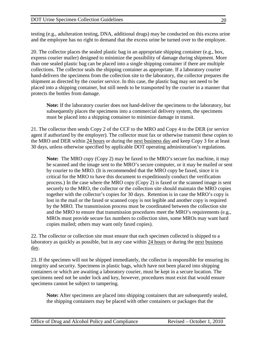testing (e.g., adulteration testing, DNA, additional drugs) may be conducted on this excess urine and the employee has no right to demand that the excess urine be turned over to the employee.

20. The collector places the sealed plastic bag in an appropriate shipping container (e.g., box, express courier mailer) designed to minimize the possibility of damage during shipment. More than one sealed plastic bag can be placed into a single shipping container if there are multiple collections. The collector seals the shipping container as appropriate. If a laboratory courier hand-delivers the specimens from the collection site to the laboratory, the collector prepares the shipment as directed by the courier service. In this case, the plastic bag may not need to be placed into a shipping container, but still needs to be transported by the courier in a manner that protects the bottles from damage.

**Note:** If the laboratory courier does not hand-deliver the specimens to the laboratory, but subsequently places the specimens into a commercial delivery system, the specimens must be placed into a shipping container to minimize damage in transit.

21. The collector then sends Copy 2 of the CCF to the MRO and Copy 4 to the DER (or service agent if authorized by the employer). The collector must fax or otherwise transmit these copies to the MRO and DER within 24 hours or during the next business day and keep Copy 3 for at least 30 days, unless otherwise specified by applicable DOT operating administration's regulations.

**Note:** The MRO copy (Copy 2) may be faxed to the MRO's secure fax machine, it may be scanned and the image sent to the MRO's secure computer, or it may be mailed or sent by courier to the MRO. (It is recommended that the MRO copy be faxed, since it is critical for the MRO to have this document to expeditiously conduct the verification process.) In the case where the MRO copy (Copy 2) is faxed or the scanned image is sent securely to the MRO, the collector or the collection site should maintain the MRO copies together with the collector's copies for 30 days. Retention is in case the MRO's copy is lost in the mail or the faxed or scanned copy is not legible and another copy is required by the MRO. The transmission process must be coordinated between the collection site and the MRO to ensure that transmission procedures meet the MRO's requirements (e.g., MROs must provide secure fax numbers to collection sites, some MROs may want hard copies mailed; others may want only faxed copies).

22. The collector or collection site must ensure that each specimen collected is shipped to a laboratory as quickly as possible, but in any case within 24 hours or during the next business day.

23. If the specimen will not be shipped immediately, the collector is responsible for ensuring its integrity and security. Specimens in plastic bags, which have not been placed into shipping containers or which are awaiting a laboratory courier, must be kept in a secure location. The specimens need not be under lock and key, however, procedures must exist that would ensure specimens cannot be subject to tampering.

**Note:** After specimens are placed into shipping containers that are subsequently sealed, the shipping containers may be placed with other containers or packages that the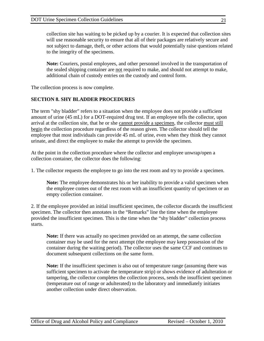collection site has waiting to be picked up by a courier. It is expected that collection sites will use reasonable security to ensure that all of their packages are relatively secure and not subject to damage, theft, or other actions that would potentially raise questions related to the integrity of the specimens.

**Note:** Couriers, postal employees, and other personnel involved in the transportation of the sealed shipping container are not required to make, and should not attempt to make, additional chain of custody entries on the custody and control form.

The collection process is now complete.

## **SECTION 8. SHY BLADDER PROCEDURES**

The term "shy bladder" refers to a situation when the employee does not provide a sufficient amount of urine (45 mL) for a DOT-required drug test. If an employee tells the collector, upon arrival at the collection site, that he or she cannot provide a specimen, the collector must still begin the collection procedure regardless of the reason given. The collector should tell the employee that most individuals can provide 45 mL of urine, even when they think they cannot urinate, and direct the employee to make the attempt to provide the specimen.

At the point in the collection procedure where the collector and employee unwrap/open a collection container, the collector does the following:

1. The collector requests the employee to go into the rest room and try to provide a specimen.

**Note:** The employee demonstrates his or her inability to provide a valid specimen when the employee comes out of the rest room with an insufficient quantity of specimen or an empty collection container.

2. If the employee provided an initial insufficient specimen, the collector discards the insufficient specimen. The collector then annotates in the "Remarks" line the time when the employee provided the insufficient specimen. This is the time when the "shy bladder" collection process starts.

**Note:** If there was actually no specimen provided on an attempt, the same collection container may be used for the next attempt (the employee may keep possession of the container during the waiting period). The collector uses the same CCF and continues to document subsequent collections on the same form.

**Note:** If the insufficient specimen is also out of temperature range (assuming there was sufficient specimen to activate the temperature strip) or shows evidence of adulteration or tampering, the collector completes the collection process, sends the insufficient specimen (temperature out of range or adulterated) to the laboratory and immediately initiates another collection under direct observation.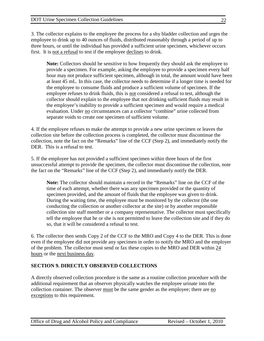3. The collector explains to the employee the process for a shy bladder collection and urges the employee to drink up to 40 ounces of fluids, distributed reasonably through a period of up to three hours, or until the individual has provided a sufficient urine specimen, whichever occurs first. It is not a refusal to test if the employee declines to drink.

**Note:** Collectors should be sensitive to how frequently they should ask the employee to provide a specimen. For example, asking the employee to provide a specimen every half hour may not produce sufficient specimen, although in total, the amount would have been at least 45 mL. In this case, the collector needs to determine if a longer time is needed for the employee to consume fluids and produce a sufficient volume of specimen. If the employee refuses to drink fluids, this is not considered a refusal to test, although the collector should explain to the employee that not drinking sufficient fluids may result in the employee's inability to provide a sufficient specimen and would require a medical evaluation. Under no circumstances can a collector "combine" urine collected from separate voids to create one specimen of sufficient volume.

4. If the employee refuses to make the attempt to provide a new urine specimen or leaves the collection site before the collection process is completed, the collector must discontinue the collection, note the fact on the "Remarks" line of the CCF (Step 2), and immediately notify the DER. This is a refusal to test.

5. If the employee has not provided a sufficient specimen within three hours of the first unsuccessful attempt to provide the specimen, the collector must discontinue the collection, note the fact on the "Remarks" line of the CCF (Step 2), and immediately notify the DER.

**Note:** The collector should maintain a record in the "Remarks" line on the CCF of the time of each attempt, whether there was any specimen provided or the quantity of specimen provided, and the amount of fluids that the employee was given to drink. During the waiting time, the employee must be monitored by the collector (the one conducting the collection or another collector at the site) or by another responsible collection site staff member or a company representative. The collector must specifically tell the employee that he or she is not permitted to leave the collection site and if they do so, that it will be considered a refusal to test.

6. The collector then sends Copy 2 of the CCF to the MRO and Copy 4 to the DER. This is done even if the employee did not provide any specimen in order to notify the MRO and the employer of the problem. The collector must send or fax these copies to the MRO and DER within 24 hours or the next business day.

# **SECTION 9. DIRECTLY OBSERVED COLLECTIONS**

A directly observed collection procedure is the same as a routine collection procedure with the additional requirement that an observer physically watches the employee urinate into the collection container. The observer must be the same gender as the employee; there are no exceptions to this requirement.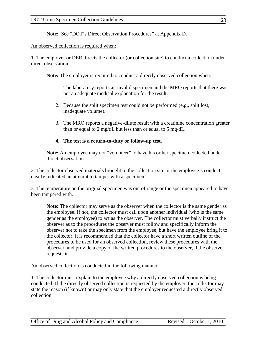**Note:** See "DOT's Direct Observation Procedures" at Appendix D.

#### An observed collection is required when:

1. The employer or DER directs the collector (or collection site) to conduct a collection under direct observation.

**Note:** The employer is required to conduct a directly observed collection when:

- 1. The laboratory reports an invalid specimen and the MRO reports that there was not an adequate medical explanation for the result.
- 2. Because the split specimen test could not be performed (e.g., split lost, inadequate volume).
- 3. The MRO reports a negative-dilute result with a creatinine concentration greater than or equal to 2 mg/dL but less than or equal to 5 mg/dL.

## **4. The test is a return-to-duty or follow-up test.**

**Note:** An employee may not "volunteer" to have his or her specimen collected under direct observation.

2. The collector observed materials brought to the collection site or the employee's conduct clearly indicated an attempt to tamper with a specimen.

3. The temperature on the original specimen was out of range or the specimen appeared to have been tampered with.

**Note:** The collector may serve as the observer when the collector is the same gender as the employee. If not, the collector must call upon another individual (who is the same gender as the employee) to act as the observer. The collector must verbally instruct the observer as to the procedures the observer must follow and specifically inform the observer not to take the specimen from the employee, but have the employee bring it to the collector. It is recommended that the collector have a short written outline of the procedures to be used for an observed collection, review these procedures with the observer, and provide a copy of the written procedures to the observer, if the observer requests it.

## An observed collection is conducted in the following manner:

1. The collector must explain to the employee why a directly observed collection is being conducted. If the directly observed collection is requested by the employer, the collector may state the reason (if known) or may only state that the employer requested a directly observed collection.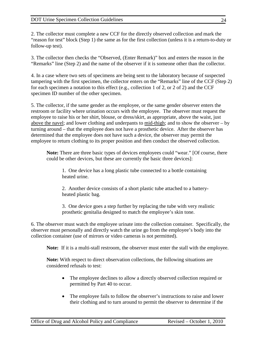2. The collector must complete a new CCF for the directly observed collection and mark the "reason for test" block (Step 1) the same as for the first collection (unless it is a return-to-duty or follow-up test).

3. The collector then checks the "Observed, (Enter Remark)" box and enters the reason in the "Remarks" line (Step 2) and the name of the observer if it is someone other than the collector.

4. In a case where two sets of specimens are being sent to the laboratory because of suspected tampering with the first specimen, the collector enters on the "Remarks" line of the CCF (Step 2) for each specimen a notation to this effect (e.g., collection 1 of 2, or 2 of 2) and the CCF specimen ID number of the other specimen.

5. The collector, if the same gender as the employee, or the same gender observer enters the restroom or facility where urination occurs with the employee. The observer must request the employee to raise his or her shirt, blouse, or dress/skirt, as appropriate, above the waist, just above the navel; and lower clothing and underpants to mid-thigh; and to show the observer – by turning around – that the employee does not have a prosthetic device. After the observer has determined that the employee does not have such a device, the observer may permit the employee to return clothing to its proper position and then conduct the observed collection*.* 

**Note:** There are three basic types of devices employees could "wear." [Of course, there could be other devices, but these are currently the basic three devices]:

1. One device has a long plastic tube connected to a bottle containing heated urine.

2. Another device consists of a short plastic tube attached to a batteryheated plastic bag.

3. One device goes a step further by replacing the tube with very realistic prosthetic genitalia designed to match the employee's skin tone.

6. The observer must watch the employee urinate into the collection container. Specifically, the observer must personally and directly watch the urine go from the employee's body into the collection container (use of mirrors or video cameras is not permitted).

**Note:** If it is a multi-stall restroom, the observer must enter the stall with the employee.

**Note:** With respect to direct observation collections, the following situations are considered refusals to test:

- The employee declines to allow a directly observed collection required or permitted by Part 40 to occur.
- The employee fails to follow the observer's instructions to raise and lower their clothing and to turn around to permit the observer to determine if the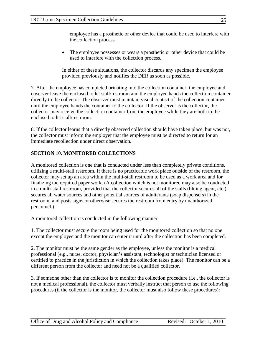employee has a prosthetic or other device that could be used to interfere with the collection process.

• The employee possesses or wears a prosthetic or other device that could be used to interfere with the collection process.

In either of these situations, the collector discards any specimen the employee provided previously and notifies the DER as soon as possible.

7. After the employee has completed urinating into the collection container, the employee and observer leave the enclosed toilet stall/restroom and the employee hands the collection container directly to the collector. The observer must maintain visual contact of the collection container until the employee hands the container to the collector. If the observer is the collector, the collector may receive the collection container from the employee while they are both in the enclosed toilet stall/restroom.

8. If the collector learns that a directly observed collection should have taken place, but was not, the collector must inform the employer that the employee must be directed to return for an immediate recollection under direct observation.

# **SECTION 10. MONITORED COLLECTIONS**

A monitored collection is one that is conducted under less than completely private conditions, utilizing a multi-stall restroom. If there is no practicable work place outside of the restroom, the collector may set up an area within the multi-stall restroom to be used as a work area and for finalizing the required paper work. (A collection which is not monitored may also be conducted in a multi-stall restroom, provided that the collector secures all of the stalls (bluing agent, etc.), secures all water sources and other potential sources of adulterants (soap dispensers) in the restroom, and posts signs or otherwise secures the restroom from entry by unauthorized personnel.)

#### A monitored collection is conducted in the following manner:

1. The collector must secure the room being used for the monitored collection so that no one except the employee and the monitor can enter it until after the collection has been completed.

2. The monitor must be the same gender as the employee, unless the monitor is a medical professional (e.g., nurse, doctor, physician's assistant, technologist or technician licensed or certified to practice in the jurisdiction in which the collection takes place). The monitor can be a different person from the collector and need not be a qualified collector.

3. If someone other than the collector is to monitor the collection procedure (i.e., the collector is not a medical professional), the collector must verbally instruct that person to use the following procedures (if the collector is the monitor, the collector must also follow these procedures):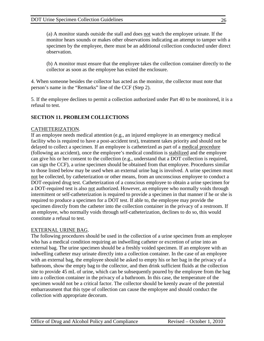(a) A monitor stands outside the stall and does not watch the employee urinate. If the monitor hears sounds or makes other observations indicating an attempt to tamper with a specimen by the employee, there must be an additional collection conducted under direct observation.

(b) A monitor must ensure that the employee takes the collection container directly to the collector as soon as the employee has exited the enclosure.

4. When someone besides the collector has acted as the monitor, the collector must note that person's name in the "Remarks" line of the CCF (Step 2).

5. If the employee declines to permit a collection authorized under Part 40 to be monitored, it is a refusal to test.

# **SECTION 11. PROBLEM COLLECTIONS**

#### CATHETERIZATION.

If an employee needs medical attention (e.g., an injured employee in an emergency medical facility who is required to have a post-accident test), treatment takes priority and should not be delayed to collect a specimen. If an employee is catheterized as part of a medical procedure (following an accident), once the employee's medical condition is stabilized and the employee can give his or her consent to the collection (e.g., understand that a DOT collection is required, can sign the CCF), a urine specimen should be obtained from that employee. Procedures similar to those listed below may be used when an external urine bag is involved. A urine specimen must not be collected, by catheterization or other means, from an unconscious employee to conduct a DOT-required drug test. Catheterization of a conscious employee to obtain a urine specimen for a DOT-required test is also not authorized. However, an employee who normally voids through intermittent or self-catheterization is required to provide a specimen in that manner if he or she is required to produce a specimen for a DOT test. If able to, the employee may provide the specimen directly from the catheter into the collection container in the privacy of a restroom. If an employee, who normally voids through self-catheterization, declines to do so, this would constitute a refusal to test.

#### EXTERNAL URINE BAG.

The following procedures should be used in the collection of a urine specimen from an employee who has a medical condition requiring an indwelling catheter or excretion of urine into an external bag. The urine specimen should be a freshly voided specimen. If an employee with an indwelling catheter may urinate directly into a collection container. In the case of an employee with an external bag, the employee should be asked to empty his or her bag in the privacy of a bathroom, show the empty bag to the collector, and then drink sufficient fluids at the collection site to provide 45 mL of urine, which can be subsequently poured by the employee from the bag into a collection container in the privacy of a bathroom. In this case, the temperature of the specimen would not be a critical factor. The collector should be keenly aware of the potential embarrassment that this type of collection can cause the employee and should conduct the collection with appropriate decorum.

26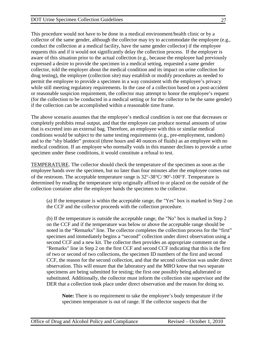This procedure would not have to be done in a medical environment/health clinic or by a collector of the same gender, although the collector may try to accommodate the employee (e.g., conduct the collection at a medical facility, have the same gender collector) if the employee requests this and if it would not significantly delay the collection process. If the employer is aware of this situation prior to the actual collection (e.g., because the employee had previously expressed a desire to provide the specimen in a medical setting, requested a same gender collector, told the employer about the medical condition and its impact on urine collection for drug testing), the employer (collection site) may establish or modify procedures as needed to permit the employee to provide a specimen in a way consistent with the employee's privacy while still meeting regulatory requirements. In the case of a collection based on a post-accident or reasonable suspicion requirement, the collector may attempt to honor the employee's request (for the collection to be conducted in a medical setting or for the collector to be the same gender) if the collection can be accomplished within a reasonable time frame.

The above scenario assumes that the employee's medical condition is not one that decreases or completely prohibits renal output, and that the employee can produce normal amounts of urine that is excreted into an external bag. Therefore, an employee with this or similar medical conditions would be subject to the same testing requirements (e.g., pre-employment, random) and to the "shy bladder" protocol (three hours and 40 ounces of fluids) as an employee with no medical condition. If an employee who normally voids in this manner declines to provide a urine specimen under these conditions, it would constitute a refusal to test.

TEMPERATURE. The collector should check the temperature of the specimen as soon as the employee hands over the specimen, but no later than four minutes after the employee comes out of the restroom. The acceptable temperature range is  $32^{\circ}$ -38°C/90°-100°F. Temperature is determined by reading the temperature strip originally affixed to or placed on the outside of the collection container after the employee hands the specimen to the collector.

(a) If the temperature is within the acceptable range, the "Yes" box is marked in Step 2 on the CCF and the collector proceeds with the collection procedure.

(b) If the temperature is outside the acceptable range, the "No" box is marked in Step 2 on the CCF and if the temperature was below or above the acceptable range should be noted in the "Remarks" line. The collector completes the collection process for the "first" specimen and immediately begins a "second" collection under direct observation using a second CCF and a new kit. The collector then provides an appropriate comment on the "Remarks" line in Step 2 on the first CCF and second CCF indicating that this is the first of two or second of two collections, the specimen ID numbers of the first and second CCF, the reason for the second collection, and that the second collection was under direct observation. This will ensure that the laboratory and the MRO know that two separate specimens are being submitted for testing; the first one possibly being adulterated or substituted. Additionally, the collector must inform the collection site supervisor and the DER that a collection took place under direct observation and the reason for doing so.

**Note:** There is no requirement to take the employee's body temperature if the specimen temperature is out of range. If the collector suspects that the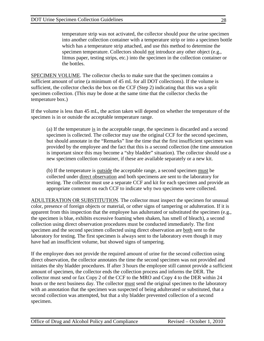temperature strip was not activated, the collector should pour the urine specimen into another collection container with a temperature strip or into a specimen bottle which has a temperature strip attached, and use this method to determine the specimen temperature. Collectors should not introduce any other object (e.g., litmus paper, testing strips, etc.) into the specimen in the collection container or the bottles.

SPECIMEN VOLUME. The collector checks to make sure that the specimen contains a sufficient amount of urine (a minimum of 45 mL for all DOT collections). If the volume is sufficient, the collector checks the box on the CCF (Step 2) indicating that this was a split specimen collection. (This may be done at the same time that the collector checks the temperature box.)

If the volume is less than 45 mL, the action taken will depend on whether the temperature of the specimen is in or outside the acceptable temperature range.

(a) If the temperature is in the acceptable range, the specimen is discarded and a second specimen is collected. The collector may use the original CCF for the second specimen, but should annotate in the "Remarks" line the time that the first insufficient specimen was provided by the employee and the fact that this is a second collection (the time annotation is important since this may become a "shy bladder" situation). The collector should use a new specimen collection container, if these are available separately or a new kit.

(b) If the temperature is outside the acceptable range, a second specimen must be collected under direct observation and both specimens are sent to the laboratory for testing. The collector must use a separate CCF and kit for each specimen and provide an appropriate comment on each CCF to indicate why two specimens were collected.

ADULTERATION OR SUBSTITUTION. The collector must inspect the specimen for unusual color, presence of foreign objects or material, or other signs of tampering or adulteration. If it is apparent from this inspection that the employee has adulterated or substituted the specimen (e.g., the specimen is blue, exhibits excessive foaming when shaken, has smell of bleach), a second collection using direct observation procedures must be conducted immediately. The first specimen and the second specimen collected using direct observation are both sent to the laboratory for testing. The first specimen is always sent to the laboratory even though it may have had an insufficient volume, but showed signs of tampering.

If the employee does not provide the required amount of urine for the second collection using direct observation, the collector annotates the time the second specimen was not provided and initiates the shy bladder procedures. If after 3 hours the employee still cannot provide a sufficient amount of specimen, the collector ends the collection process and informs the DER. The collector must send or fax Copy 2 of the CCF to the MRO and Copy 4 to the DER within 24 hours or the next business day. The collector must send the original specimen to the laboratory with an annotation that the specimen was suspected of being adulterated or substituted, that a second collection was attempted, but that a shy bladder prevented collection of a second specimen.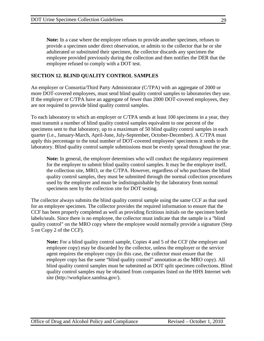**Note:** In a case where the employee refuses to provide another specimen, refuses to provide a specimen under direct observation, or admits to the collector that he or she adulterated or substituted their specimen, the collector discards any specimen the employee provided previously during the collection and then notifies the DER that the employee refused to comply with a DOT test.

#### **SECTION 12. BLIND QUALITY CONTROL SAMPLES**

An employer or Consortia/Third Party Administrator (C/TPA) with an aggregate of 2000 or more DOT-covered employees, must send blind quality control samples to laboratories they use. If the employer or C/TPA have an aggregate of fewer than 2000 DOT-covered employees, they are not required to provide blind quality control samples.

To each laboratory to which an employer or C/TPA sends at least 100 specimens in a year, they must transmit a number of blind quality control samples equivalent to one percent of the specimens sent to that laboratory, up to a maximum of 50 blind quality control samples in each quarter (i.e., January-March, April-June, July-September, October-December). A C/TPA must apply this percentage to the total number of DOT-covered employees' specimens it sends to the laboratory. Blind quality control sample submissions must be evenly spread throughout the year.

**Note:** In general, the employer determines who will conduct the regulatory requirement for the employer to submit blind quality control samples. It may be the employer itself, the collection site, MRO, or the C/TPA. However, regardless of who purchases the blind quality control samples, they must be submitted through the normal collection procedures used by the employer and must be indistinguishable by the laboratory from normal specimens sent by the collection site for DOT testing.

The collector always submits the blind quality control sample using the same CCF as that used for an employee specimen. The collector provides the required information to ensure that the CCF has been properly completed as well as providing fictitious initials on the specimen bottle labels/seals. Since there is no employee, the collector must indicate that the sample is a "blind quality control" on the MRO copy where the employee would normally provide a signature (Step 5 on Copy 2 of the CCF).

**Note:** For a blind quality control sample, Copies 4 and 5 of the CCF (the employer and employee copy) may be discarded by the collector, unless the employer or the service agent requires the employer copy (in this case, the collector must ensure that the employer copy has the same "blind quality control" annotation as the MRO copy). All blind quality control samples must be submitted as DOT split specimen collections. Blind quality control samples may be obtained from companies listed on the HHS Internet web site (http://workplace.samhsa.gov/).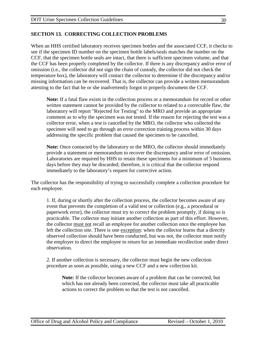# **SECTION 13. CORRECTING COLLECTION PROBLEMS**

When an HHS certified laboratory receives specimen bottles and the associated CCF, it checks to see if the specimen ID number on the specimen bottle labels/seals matches the number on the CCF, that the specimen bottle seals are intact, that there is sufficient specimen volume, and that the CCF has been properly completed by the collector. If there is any discrepancy and/or error of omission (i.e., the collector did not sign the chain of custody, the collector did not check the temperature box), the laboratory will contact the collector to determine if the discrepancy and/or missing information can be recovered. That is, the collector can provide a written memorandum attesting to the fact that he or she inadvertently forgot to properly document the CCF.

**Note:** If a fatal flaw exists in the collection process or a memorandum for record or other written statement cannot be provided by the collector to related to a correctable flaw, the laboratory will report "Rejected for Testing" to the MRO and provide an appropriate comment as to why the specimen was not tested. If the reason for rejecting the test was a collector error, when a test is cancelled by the MRO, the collector who collected the specimen will need to go through an error correction training process within 30 days addressing the specific problem that caused the specimen to be cancelled.

**Note:** Once contacted by the laboratory or the MRO, the collector should immediately provide a statement or memorandum to recover the discrepancy and/or error of omission. Laboratories are required by HHS to retain these specimens for a minimum of 5 business days before they may be discarded; therefore, it is critical that the collector respond immediately to the laboratory's request for corrective action.

The collector has the responsibility of trying to successfully complete a collection procedure for each employee.

1. If, during or shortly after the collection process, the collector becomes aware of any event that prevents the completion of a valid test or collection (e.g., a procedural or paperwork error), the collector must try to correct the problem promptly, if doing so is practicable. The collector may initiate another collection as part of this effort. However, the collector must not recall an employee for another collection once the employee has left the collection site. There is one exception: when the collector learns that a directly observed collection should have been conducted, but was not, the collector must notify the employer to direct the employee to return for an immediate recollection under direct observation.

2. If another collection is necessary, the collector must begin the new collection procedure as soon as possible, using a new CCF and a new collection kit.

**Note:** If the collector becomes aware of a problem that can be corrected, but which has not already been corrected, the collector must take all practicable actions to correct the problem so that the test is not cancelled.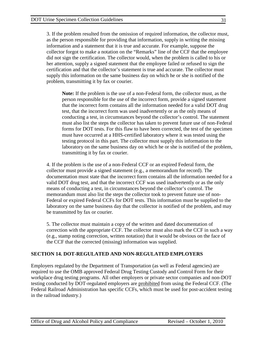3. If the problem resulted from the omission of required information, the collector must, as the person responsible for providing that information, supply in writing the missing information and a statement that it is true and accurate. For example, suppose the collector forgot to make a notation on the "Remarks" line of the CCF that the employee did not sign the certification. The collector would, when the problem is called to his or her attention, supply a signed statement that the employee failed or refused to sign the certification and that the collector's statement is true and accurate. The collector must supply this information on the same business day on which he or she is notified of the problem, transmitting it by fax or courier.

**Note:** If the problem is the use of a non-Federal form, the collector must, as the person responsible for the use of the incorrect form, provide a signed statement that the incorrect form contains all the information needed for a valid DOT drug test, that the incorrect form was used inadvertently or as the only means of conducting a test, in circumstances beyond the collector's control. The statement must also list the steps the collector has taken to prevent future use of non-Federal forms for DOT tests. For this flaw to have been corrected, the test of the specimen must have occurred at a HHS-certified laboratory where it was tested using the testing protocol in this part. The collector must supply this information to the laboratory on the same business day on which he or she is notified of the problem, transmitting it by fax or courier.

4. If the problem is the use of a non-Federal CCF or an expired Federal form, the collector must provide a signed statement (e.g., a memorandum for record). The documentation must state that the incorrect form contains all the information needed for a valid DOT drug test, and that the incorrect CCF was used inadvertently or as the only means of conducting a test, in circumstances beyond the collector's control. The memorandum must also list the steps the collector took to prevent future use of non-Federal or expired Federal CCFs for DOT tests. This information must be supplied to the laboratory on the same business day that the collector is notified of the problem, and may be transmitted by fax or courier.

5. The collector must maintain a copy of the written and dated documentation of correction with the appropriate CCF. The collector must also mark the CCF in such a way (e.g., stamp noting correction, written notation) that it would be obvious on the face of the CCF that the corrected (missing) information was supplied.

#### **SECTION 14. DOT-REGULATED AND NON-REGULATED EMPLOYERS**

Employers regulated by the Department of Transportation (as well as Federal agencies) are required to use the OMB approved Federal Drug Testing Custody and Control Form for their workplace drug testing programs. All other employers or private sector companies and non-DOT testing conducted by DOT-regulated employers are prohibited from using the Federal CCF. (The Federal Railroad Administration has specific CCFs, which must be used for post-accident testing in the railroad industry.)

31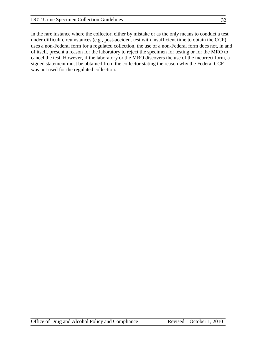In the rare instance where the collector, either by mistake or as the only means to conduct a test under difficult circumstances (e.g., post-accident test with insufficient time to obtain the CCF), uses a non-Federal form for a regulated collection, the use of a non-Federal form does not, in and of itself, present a reason for the laboratory to reject the specimen for testing or for the MRO to cancel the test. However, if the laboratory or the MRO discovers the use of the incorrect form, a signed statement must be obtained from the collector stating the reason why the Federal CCF was not used for the regulated collection.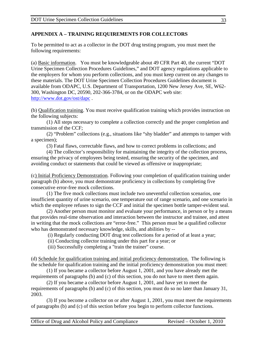## **APPENDIX A – TRAINING REQUIREMENTS FOR COLLECTORS**

To be permitted to act as a collector in the DOT drug testing program, you must meet the following requirements:

(a) Basic information. You must be knowledgeable about 49 CFR Part 40, the current "DOT Urine Specimen Collection Procedures Guidelines," and DOT agency regulations applicable to the employers for whom you perform collections, and you must keep current on any changes to these materials. The DOT Urine Specimen Collection Procedures Guidelines document is available from ODAPC, U.S. Department of Transportation, 1200 New Jersey Ave, SE, W62- 300, Washington DC, 20590, 202-366-3784, or on the ODAPC web site: <http://www.dot.gov/ost/dapc> .

(b) Qualification training. You must receive qualification training which provides instruction on the following subjects:

(1) All steps necessary to complete a collection correctly and the proper completion and transmission of the CCF;

(2) "Problem" collections (e.g., situations like "shy bladder" and attempts to tamper with a specimen);

(3) Fatal flaws, correctable flaws, and how to correct problems in collections; and

(4) The collector's responsibility for maintaining the integrity of the collection process, ensuring the privacy of employees being tested, ensuring the security of the specimen, and avoiding conduct or statements that could be viewed as offensive or inappropriate;

(c) Initial Proficiency Demonstration. Following your completion of qualification training under paragraph (b) above, you must demonstrate proficiency in collections by completing five consecutive error-free mock collections.

(1) The five mock collections must include two uneventful collection scenarios, one insufficient quantity of urine scenario, one temperature out of range scenario, and one scenario in which the employee refuses to sign the CCF and initial the specimen bottle tamper-evident seal.

(2) Another person must monitor and evaluate your performance, in person or by a means that provides real-time observation and interaction between the instructor and trainee, and attest in writing that the mock collections are "error-free." This person must be a qualified collector who has demonstrated necessary knowledge, skills, and abilities by --

(i) Regularly conducting DOT drug test collections for a period of at least a year;

(ii) Conducting collector training under this part for a year; or

(iii) Successfully completing a "train the trainer" course.

(d) Schedule for qualification training and initial proficiency demonstration. The following is the schedule for qualification training and the initial proficiency demonstration you must meet:

(1) If you became a collector before August 1, 2001, and you have already met the requirements of paragraphs (b) and (c) of this section, you do not have to meet them again.

(2) If you became a collector before August 1, 2001, and have yet to meet the requirements of paragraphs (b) and (c) of this section, you must do so no later than January 31, 2003.

(3) If you become a collector on or after August 1, 2001, you must meet the requirements of paragraphs (b) and (c) of this section before you begin to perform collector functions.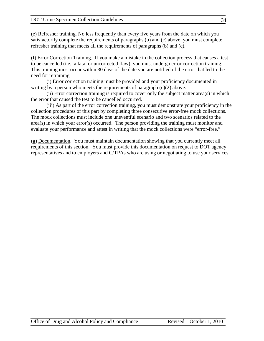(e) Refresher training. No less frequently than every five years from the date on which you satisfactorily complete the requirements of paragraphs (b) and (c) above, you must complete refresher training that meets all the requirements of paragraphs (b) and (c).

(f) Error Correction Training. If you make a mistake in the collection process that causes a test to be cancelled (i.e., a fatal or uncorrected flaw), you must undergo error correction training. This training must occur within 30 days of the date you are notified of the error that led to the need for retraining.

(i) Error correction training must be provided and your proficiency documented in writing by a person who meets the requirements of paragraph (c)(2) above.

(ii) Error correction training is required to cover only the subject matter area(s) in which the error that caused the test to be cancelled occurred.

(iii) As part of the error correction training, you must demonstrate your proficiency in the collection procedures of this part by completing three consecutive error-free mock collections. The mock collections must include one uneventful scenario and two scenarios related to the area(s) in which your error(s) occurred. The person providing the training must monitor and evaluate your performance and attest in writing that the mock collections were "error-free."

(g) Documentation. You must maintain documentation showing that you currently meet all requirements of this section. You must provide this documentation on request to DOT agency representatives and to employers and C/TPAs who are using or negotiating to use your services.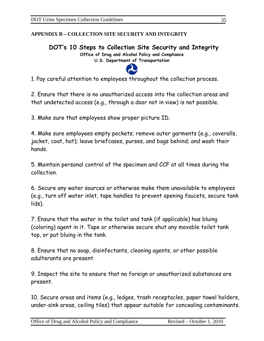# **APPENDIX B – COLLECTION SITE SECURITY AND INTEGRITY**

# **DOT's 10 Steps to Collection Site Security and Integrity**

**Office of Drug and Alcohol Policy and Compliance U.S. Department of Transportation** 



1. Pay careful attention to employees throughout the collection process.

2. Ensure that there is no unauthorized access into the collection areas and that undetected access (e.g., through a door not in view) is not possible.

3. Make sure that employees show proper picture ID.

4. Make sure employees empty pockets; remove outer garments (e.g., coveralls, jacket, coat, hat); leave briefcases, purses, and bags behind; and wash their hands.

5. Maintain personal control of the specimen and CCF at all times during the collection.

6. Secure any water sources or otherwise make them unavailable to employees (e.g., turn off water inlet, tape handles to prevent opening faucets, secure tank lids).

7. Ensure that the water in the toilet and tank (if applicable) has bluing (coloring) agent in it. Tape or otherwise secure shut any movable toilet tank top, or put bluing in the tank.

8. Ensure that no soap, disinfectants, cleaning agents, or other possible adulterants are present.

9. Inspect the site to ensure that no foreign or unauthorized substances are present.

10. Secure areas and items (e.g., ledges, trash receptacles, paper towel holders, under-sink areas, ceiling tiles) that appear suitable for concealing contaminants.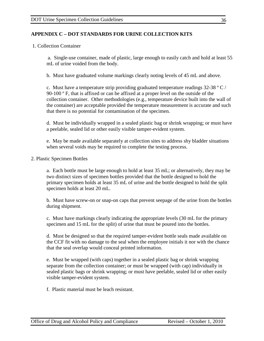## **APPENDIX C – DOT STANDARDS FOR URINE COLLECTION KITS**

1. Collection Container

a. Single-use container, made of plastic, large enough to easily catch and hold at least 55 mL of urine voided from the body.

b. Must have graduated volume markings clearly noting levels of 45 mL and above.

c. Must have a temperature strip providing graduated temperature readings  $32-38$  ° C / 90-100 º F, that is affixed or can be affixed at a proper level on the outside of the collection container. Other methodologies (e.g., temperature device built into the wall of the container) are acceptable provided the temperature measurement is accurate and such that there is no potential for contamination of the specimen.

d. Must be individually wrapped in a sealed plastic bag or shrink wrapping; or must have a peelable, sealed lid or other easily visible tamper-evident system.

e. May be made available separately at collection sites to address shy bladder situations when several voids may be required to complete the testing process.

2. Plastic Specimen Bottles

a. Each bottle must be large enough to hold at least 35 mL; or alternatively, they may be two distinct sizes of specimen bottles provided that the bottle designed to hold the primary specimen holds at least 35 mL of urine and the bottle designed to hold the split specimen holds at least 20 mL.

b. Must have screw-on or snap-on caps that prevent seepage of the urine from the bottles during shipment.

c. Must have markings clearly indicating the appropriate levels (30 mL for the primary specimen and 15 mL for the split) of urine that must be poured into the bottles.

d. Must be designed so that the required tamper-evident bottle seals made available on the CCF fit with no damage to the seal when the employee initials it nor with the chance that the seal overlap would conceal printed information.

e. Must be wrapped (with caps) together in a sealed plastic bag or shrink wrapping separate from the collection container; or must be wrapped (with cap) individually in sealed plastic bags or shrink wrapping; or must have peelable, sealed lid or other easily visible tamper-evident system.

f. Plastic material must be leach resistant.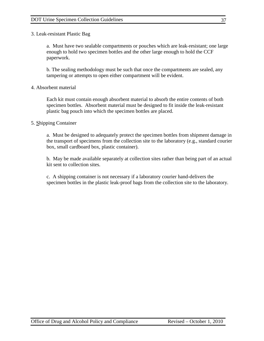a. Must have two sealable compartments or pouches which are leak-resistant; one large enough to hold two specimen bottles and the other large enough to hold the CCF paperwork.

b. The sealing methodology must be such that once the compartments are sealed, any tampering or attempts to open either compartment will be evident.

#### 4. Absorbent material

Each kit must contain enough absorbent material to absorb the entire contents of both specimen bottles. Absorbent material must be designed to fit inside the leak-resistant plastic bag pouch into which the specimen bottles are placed.

#### 5. Shipping Container

a. Must be designed to adequately protect the specimen bottles from shipment damage in the transport of specimens from the collection site to the laboratory (e.g., standard courier box, small cardboard box, plastic container).

b. May be made available separately at collection sites rather than being part of an actual kit sent to collection sites.

c. A shipping container is not necessary if a laboratory courier hand-delivers the specimen bottles in the plastic leak-proof bags from the collection site to the laboratory.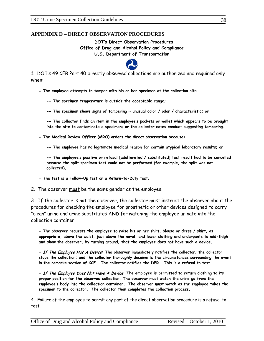#### **APPENDIX D – DIRECT OBSERVATION PROCEDURES**

**DOT's Direct Observation Procedures Office of Drug and Alcohol Policy and Compliance U.S. Department of Transportation**



1. DOT's 49 CFR Part 40 directly observed collections are authorized and required only when:

**● The employee attempts to tamper with his or her specimen at the collection site.** 

**-- The specimen temperature is outside the acceptable range;**

**-- The specimen shows signs of tampering ~ unusual color / odor / characteristic; or**

**-- The collector finds an item in the employee's pockets or wallet which appears to be brought into the site to contaminate a specimen; or the collector notes conduct suggesting tampering.** 

**● The Medical Review Officer (MRO) orders the direct observation because:**

**-- The employee has no legitimate medical reason for certain atypical laboratory results; or** 

**-- The employee's positive or refusal [adulterated / substituted] test result had to be cancelled because the split specimen test could not be performed (for example, the split was not collected).**

- **The test is a Follow-Up test or a Return-to-Duty test.**
- 2. The observer must be the same gender as the employee.

3. If the collector is not the observer, the collector must instruct the observer about the procedures for checking the employee for prosthetic or other devices designed to carry "clean" urine and urine substitutes AND for watching the employee urinate into the collection container.

**● The observer requests the employee to raise his or her shirt, blouse or dress / skirt, as appropriate, above the waist, just above the navel; and lower clothing and underpants to mid-thigh and show the observer, by turning around, that the employee does not have such a device.**

**●** If The Employee Has A Device**: The observer immediately notifies the collector; the collector stops the collection; and the collector thoroughly documents the circumstances surrounding the event in the remarks section of CCF. The collector notifies the DER. This is a refusal to test.** 

**●** If The Employee Does Not Have A Device**: The employee is permitted to return clothing to its proper position for the observed collection. The observer must watch the urine go from the employee's body into the collection container. The observer must watch as the employee takes the specimen to the collector. The collector then completes the collection process.**

4. Failure of the employee to permit any part of the direct observation procedure is a refusal to test.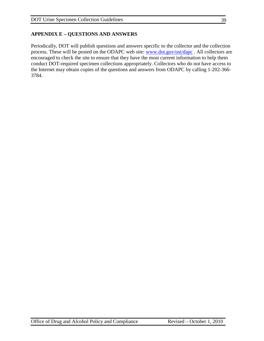# **APPENDIX E – QUESTIONS AND ANSWERS**

Periodically, DOT will publish questions and answers specific to the collector and the collection process. These will be posted on the ODAPC web site: [www.dot.gov/ost/dapc](http://www.dot.gov/ost/dapc). All collectors are encouraged to check the site to ensure that they have the most current information to help them conduct DOT-required specimen collections appropriately. Collectors who do not have access to the Internet may obtain copies of the questions and answers from ODAPC by calling 1-202-366- 3784.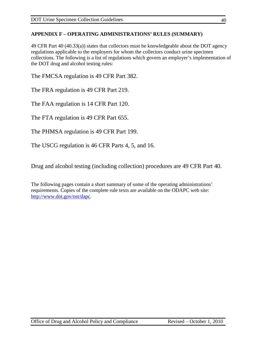#### **APPENDIX F – OPERATING ADMINISTRATIONS' RULES (SUMMARY)**

49 CFR Part 40 (40.33(a)) states that collectors must be knowledgeable about the DOT agency regulations applicable to the employers for whom the collectors conduct urine specimen collections. The following is a list of regulations which govern an employer's implementation of the DOT drug and alcohol testing rules:

The FMCSA regulation is 49 CFR Part 382.

The FRA regulation is 49 CFR Part 219.

The FAA regulation is 14 CFR Part 120.

The FTA regulation is 49 CFR Part 655.

The PHMSA regulation is 49 CFR Part 199.

The USCG regulation is 46 CFR Parts 4, 5, and 16.

Drug and alcohol testing (including collection) procedures are 49 CFR Part 40.

The following pages contain a short summary of some of the operating administrations' requirements. Copies of the complete rule texts are available on the ODAPC web site: [http://www.dot.gov/ost/dapc.](http://www.dot.gov/ost/dapc)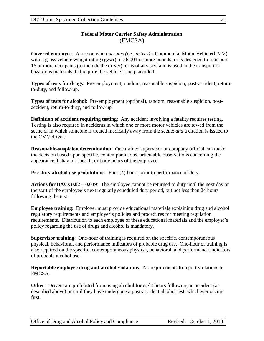# **Federal Motor Carrier Safety Administration** (FMCSA)

**Covered employee**: A person who *operates (i.e., drives)* a Commercial Motor Vehicle(CMV) with a gross vehicle weight rating (gvwr) of 26,001 or more pounds; or is designed to transport 16 or more occupants (to include the driver); or is of any size and is used in the transport of hazardous materials that require the vehicle to be placarded.

**Types of tests for drugs**: Pre-employment, random, reasonable suspicion, post-accident, returnto-duty, and follow-up.

**Types of tests for alcohol**: Pre-employment (optional), random, reasonable suspicion, postaccident, return-to-duty, and follow-up.

**Definition of accident requiring testing**: Any accident involving a fatality requires testing. Testing is also required in accidents in which one or more motor vehicles are towed from the scene or in which someone is treated medically away from the scene; *and* a citation is issued to the CMV driver.

**Reasonable-suspicion determination**: One trained supervisor or company official can make the decision based upon specific, contemporaneous, articulable observations concerning the appearance, behavior, speech, or body odors of the employee.

**Pre-duty alcohol use prohibitions**: Four (4) hours prior to performance of duty.

**Actions for BACs 0.02 – 0.039**: The employee cannot be returned to duty until the next day or the start of the employee's next regularly scheduled duty period, but not less than 24 hours following the test.

**Employee training**: Employer must provide educational materials explaining drug and alcohol regulatory requirements and employer's policies and procedures for meeting regulation requirements. Distribution to each employee of these educational materials and the employer's policy regarding the use of drugs and alcohol is mandatory.

**Supervisor training**: One-hour of training is required on the specific, contemporaneous physical, behavioral, and performance indicators of probable drug use. One-hour of training is also required on the specific, contemporaneous physical, behavioral, and performance indicators of probable alcohol use.

**Reportable employee drug and alcohol violations**: No requirements to report violations to FMCSA.

**Other:** Drivers are prohibited from using alcohol for eight hours following an accident (as described above) or until they have undergone a post-accident alcohol test, whichever occurs first.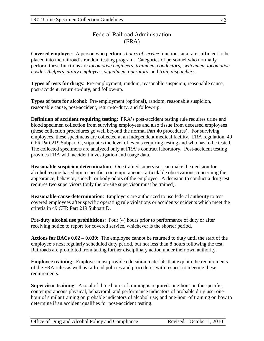# Federal Railroad Administration  $(FRA)$

**Covered employee**: A person who performs *hours of service* functions at a rate sufficient to be placed into the railroad's random testing program. Categories of personnel who normally perform these functions are *locomotive engineers, trainmen, conductors, switchmen, locomotive hostlers/helpers, utility employees, signalmen, operators,* and *train dispatchers.*

**Types of tests for drugs**: Pre-employment, random, reasonable suspicion, reasonable cause, post-accident, return-to-duty, and follow-up.

**Types of tests for alcohol**: Pre-employment (optional), random, reasonable suspicion, reasonable cause, post-accident, return-to-duty, and follow-up.

**Definition of accident requiring testing**: FRA's post-accident testing rule requires urine and blood specimen collection from surviving employees and also tissue from deceased employees (these collection procedures go well beyond the normal Part 40 procedures). For surviving employees, these specimens are collected at an independent medical facility. FRA regulation, 49 CFR Part 219 Subpart C, stipulates the level of events requiring testing and who has to be tested. The collected specimens are analyzed only at FRA's contract laboratory. Post-accident testing provides FRA with accident investigation and usage data.

**Reasonable-suspicion determination**: One trained supervisor can make the decision for alcohol testing based upon specific, contemporaneous, articulable observations concerning the appearance, behavior, speech, or body odors of the employee. A decision to conduct a drug test requires two supervisors (only the on-site supervisor must be trained).

**Reasonable-cause determination**: Employers are authorized to use federal authority to test covered employees after specific operating rule violations or accidents/incidents which meet the criteria in 49 CFR Part 219 Subpart D.

**Pre-duty alcohol use prohibitions**: Four (4) hours prior to performance of duty or after receiving notice to report for covered service, whichever is the shorter period.

**Actions for BACs 0.02 – 0.039**: The employee cannot be returned to duty until the start of the employee's next regularly scheduled duty period, but not less than 8 hours following the test. Railroads are prohibited from taking further disciplinary action under their own authority.

**Employee training**: Employer must provide education materials that explain the requirements of the FRA rules as well as railroad policies and procedures with respect to meeting these requirements.

**Supervisor training**: A total of three hours of training is required: one-hour on the specific, contemporaneous physical, behavioral, and performance indicators of probable drug use; onehour of similar training on probable indicators of alcohol use; and one-hour of training on how to determine if an accident qualifies for post-accident testing.

Office of Drug and Alcohol Policy and Compliance Revised – October 1, 2010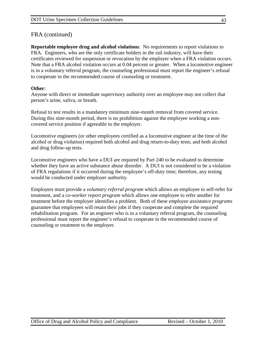# FRA (continued)

**Reportable employee drug and alcohol violations**: No requirements to report violations to FRA. Engineers, who are the only certificate holders in the rail industry, will have their certificates reviewed for suspension or revocation by the employer when a FRA violation occurs. Note that a FRA alcohol violation occurs at 0.04 percent or greater. When a locomotive engineer is in a voluntary referral program, the counseling professional must report the engineer's refusal to cooperate in the recommended course of counseling or treatment.

#### **Other**:

Anyone with direct or immediate supervisory authority over an employee may not collect that person's urine, saliva, or breath.

Refusal to test results in a mandatory minimum nine-month removal from covered service. During this nine-month period, there is no prohibition against the employee working a noncovered service position if agreeable to the employer.

Locomotive engineers (or other employees certified as a locomotive engineer at the time of the alcohol or drug violation) required both alcohol and drug return-to-duty tests; and both alcohol and drug follow-up tests.

Locomotive engineers who have a DUI are required by Part 240 to be evaluated to determine whether they have an active substance abuse disorder. A DUI is not considered to be a violation of FRA regulations if it occurred during the employee's off-duty time; therefore, any testing would be conducted under employer authority.

Employers must provide a *voluntary referral program* which allows an employee to self-refer for treatment, and a *co-worker report program* which allows one employee to refer another for treatment before the employer identifies a problem. Both of these *employee assistance programs*  guarantee that employees will retain their jobs if they cooperate and complete the required rehabilitation program. For an engineer who is in a voluntary referral program, the counseling professional must report the engineer's refusal to cooperate in the recommended course of counseling or treatment to the employer.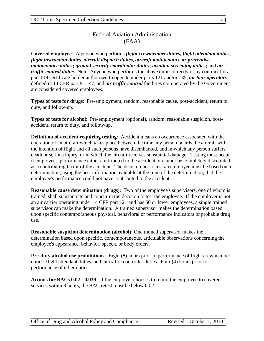# Federal Aviation Administration (FAA)

**Covered employee**: A person who performs *flight crewmember duties***,** *flight attendant duties***,**  *flight instruction duties***,** *aircraft dispatch duties***,** *aircraft maintenance* **or** *preventive maintenance duties***;** *ground security coordinator duties***;** *aviation screening duties***;** and *air traffic control duties*. Note: Anyone who performs the above duties directly or by contract for a part 119 certificate holder authorized to operate under parts 121 and/or 135, *air tour operators* defined in 14 CFR part 91.147, and *air traffic control* facilities not operated by the Government are considered covered employees.

**Types of tests for drugs**: Pre-employment, random, reasonable cause, post-accident, return to duty, and follow-up.

**Types of tests for alcohol:** Pre-employment (optional), random, reasonable suspicion, postaccident, return to duty, and follow-up.

**Definition of accident requiring testing**: Accident means an occurrence associated with the operation of an aircraft which takes place between the time any person boards the aircraft with the intention of flight and all such persons have disembarked, and in which any person suffers death or serious injury, or in which the aircraft receives substantial damage. Testing must occur if employee's performance either contributed to the accident or cannot be completely discounted as a contributing factor of the accident. The decision not to test an employee must be based on a determination, using the best information available at the time of the determination, that the employee's performance could not have contributed to the accident.

**Reasonable cause determination (drugs)**:Two of the employee's supervisors, one of whom is trained, shall substantiate and concur in the decision to test the employee. If the employer is not an air carrier operating under 14 CFR part 121 and has 50 or fewer employees, a single trained supervisor can make the determination. A trained supervisor makes the determination based upon specific contemporaneous physical, behavioral or performance indicators of probable drug use.

**Reasonable suspicion determination (alcohol)**: One trained supervisor makes the determination based upon specific, contemporaneous, articulable observations concerning the employee's appearance, behavior, speech, or body orders.

**Pre-duty alcohol use prohibitions:** Eight (8) hours prior to performance of flight crewmember duties, flight attendant duties, and air traffic controller duties. Four (4) hours prior to performance of other duties.

**Actions for BACs 0.02 - 0.039**:If the employer chooses to return the employee to covered services within 8 hours, the BAC retest must be below 0.02.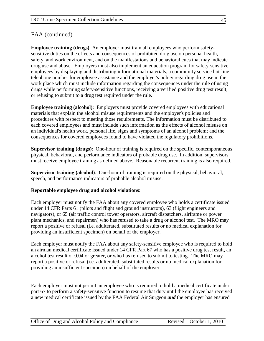# FAA (continued)

**Employee training (drugs)**: An employer must train all employees who perform safetysensitive duties on the effects and consequences of prohibited drug use on personal health, safety, and work environment, and on the manifestations and behavioral cues that may indicate drug use and abuse. Employers must also implement an education program for safety-sensitive employees by displaying and distributing informational materials, a community service hot-line telephone number for employee assistance and the employer's policy regarding drug use in the work place which must include information regarding the consequences under the rule of using drugs while performing safety-sensitive functions, receiving a verified positive drug test result, or refusing to submit to a drug test required under the rule.

**Employee training (alcohol)**:Employers must provide covered employees with educational materials that explain the alcohol misuse requirements and the employer's policies and procedures with respect to meeting those requirements. The information must be distributed to each covered employees and must include such information as the effects of alcohol misuse on an individual's health work, personal life, signs and symptoms of an alcohol problem; and the consequences for covered employees found to have violated the regulatory prohibitions.

**Supervisor training (drugs)**:One-hour of training is required on the specific, contemporaneous physical, behavioral, and performance indicators of probable drug use. In addition, supervisors must receive employee training as defined above. Reasonable recurrent training is also required.

**Supervisor training (alcohol)**:One-hour of training is required on the physical, behavioral, speech, and performance indicators of probable alcohol misuse.

## **Reportable employee drug and alcohol violations**:

Each employer must notify the FAA about any covered employee who holds a certificate issued under 14 CFR Parts 61 (pilots and flight and ground instructors), 63 (flight engineers and navigators), or 65 (air traffic control tower operators, aircraft dispatchers, airframe or power plant mechanics, and repairmen) who has refused to take a drug or alcohol test. The MRO may report a positive or refusal (i.e. adulterated, substituted results or no medical explanation for providing an insufficient specimen) on behalf of the employer.

Each employer must notify the FAA about any safety-sensitive employee who is required to hold an airman medical certificate issued under 14 CFR Part 67 who has a positive drug test result, an alcohol test result of 0.04 or greater, or who has refused to submit to testing. The MRO may report a positive or refusal (i.e. adulterated, substituted results or no medical explanation for providing an insufficient specimen) on behalf of the employer.

Each employer must not permit an employee who is required to hold a medical certificate under part 67 to perform a safety-sensitive function to resume that duty until the employee has received a new medical certificate issued by the FAA Federal Air Surgeon *and* the employer has ensured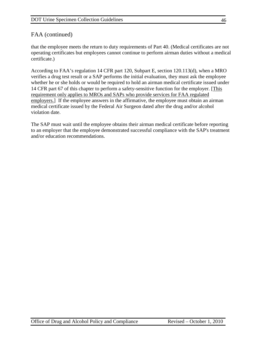that the employee meets the return to duty requirements of Part 40. (Medical certificates are not operating certificates but employees cannot continue to perform airman duties without a medical certificate.)

According to FAA's regulation 14 CFR part 120, Subpart E, section 120.113(d), when a MRO verifies a drug test result or a SAP performs the initial evaluation, they must ask the employee whether he or she holds or would be required to hold an airman medical certificate issued under 14 CFR part 67 of this chapter to perform a safety-sensitive function for the employer. [This requirement only applies to MROs and SAPs who provide services for FAA regulated employers.] If the employee answers in the affirmative, the employee must obtain an airman medical certificate issued by the Federal Air Surgeon dated after the drug and/or alcohol violation date.

The SAP must wait until the employee obtains their airman medical certificate before reporting to an employer that the employee demonstrated successful compliance with the SAP's treatment and/or education recommendations.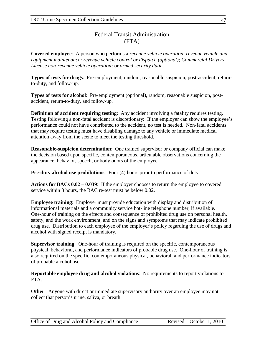# Federal Transit Administration (FTA)

**Covered employee**: A person who performs a *revenue vehicle operation*; *revenue vehicle and equipment maintenance; revenue vehicle control or dispatch (optional); Commercial Drivers License non-revenue vehicle operation;* or *armed security duties.*

**Types of tests for drugs**: Pre-employment, random, reasonable suspicion, post-accident, returnto-duty, and follow-up.

**Types of tests for alcohol**: Pre-employment (optional), random, reasonable suspicion, postaccident, return-to-duty, and follow-up.

**Definition of accident requiring testing**: Any accident involving a fatality requires testing. Testing following a non-fatal accident is discretionary: If the employer can show the employee's performance could not have contributed to the accident, no test is needed. Non-fatal accidents that may require testing must have disabling damage to any vehicle or immediate medical attention away from the scene to meet the testing threshold.

**Reasonable-suspicion determination**: One trained supervisor or company official can make the decision based upon specific, contemporaneous, articulable observations concerning the appearance, behavior, speech, or body odors of the employee.

**Pre-duty alcohol use prohibitions**: Four (4) hours prior to performance of duty.

**Actions for BACs 0.02 – 0.039**: If the employer chooses to return the employee to covered service within 8 hours, the BAC re-test must be below 0.02.

**Employee training**: Employer must provide education with display and distribution of informational materials and a community service hot-line telephone number, if available. One-hour of training on the effects and consequence of prohibited drug use on personal health, safety, and the work environment, and on the signs and symptoms that may indicate prohibited drug use. Distribution to each employee of the employer's policy regarding the use of drugs and alcohol with signed receipt is mandatory.

**Supervisor training**: One-hour of training is required on the specific, contemporaneous physical, behavioral, and performance indicators of probable drug use. One-hour of training is also required on the specific, contemporaneous physical, behavioral, and performance indicators of probable alcohol use.

**Reportable employee drug and alcohol violations**: No requirements to report violations to FTA.

**Other:** Anyone with direct or immediate supervisory authority over an employee may not collect that person's urine, saliva, or breath.

Office of Drug and Alcohol Policy and Compliance Revised – October 1, 2010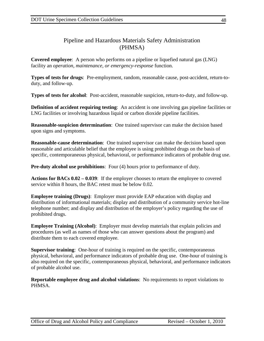# Pipeline and Hazardous Materials Safety Administration (PHMSA)

**Covered employee**: A person who performs on a pipeline or liquefied natural gas (LNG) facility an *operation, maintenance, or emergency-response* function.

**Types of tests for drugs**: Pre-employment, random, reasonable cause, post-accident, return-toduty, and follow-up.

**Types of tests for alcohol**: Post-accident, reasonable suspicion, return-to-duty, and follow-up.

**Definition of accident requiring testing**: An accident is one involving gas pipeline facilities or LNG facilities or involving hazardous liquid or carbon dioxide pipeline facilities.

**Reasonable-suspicion determination**: One trained supervisor can make the decision based upon signs and symptoms.

**Reasonable-cause determination**: One trained supervisor can make the decision based upon reasonable and articulable belief that the employee is using prohibited drugs on the basis of specific, contemporaneous physical, behavioral, or performance indicators of probable drug use.

**Pre-duty alcohol use prohibitions**: Four (4) hours prior to performance of duty.

**Actions for BACs 0.02 – 0.039**: If the employer chooses to return the employee to covered service within 8 hours, the BAC retest must be below 0.02.

**Employee training (Drugs)**: Employer must provide EAP education with display and distribution of informational materials; display and distribution of a community service hot-line telephone number; and display and distribution of the employer's policy regarding the use of prohibited drugs.

**Employee Training (Alcohol):** Employer must develop materials that explain policies and procedures (as well as names of those who can answer questions about the program) and distribute them to each covered employee.

**Supervisor training**: One-hour of training is required on the specific, contemporaneous physical, behavioral, and performance indicators of probable drug use. One-hour of training is also required on the specific, contemporaneous physical, behavioral, and performance indicators of probable alcohol use.

**Reportable employee drug and alcohol violations**: No requirements to report violations to PHMSA.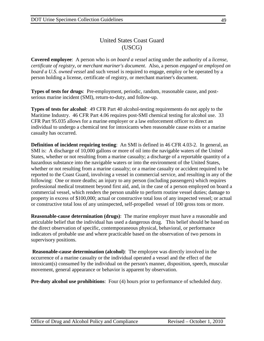# United States Coast Guard (USCG)

**Covered employee**: A person who is *on board a vessel* acting under the authority of a *license*, *certificate of registry*, or *merchant mariner's document*. Also, a person *engaged* or *employed on board a U.S. owned vessel* and such vessel is required to engage, employ or be operated by a person holding a license, certificate of registry, or merchant mariner's document.

**Types of tests for drugs**: Pre-employment, periodic, random, reasonable cause, and postserious marine incident (SMI), return-to-duty, and follow-up.

**Types of tests for alcohol**: 49 CFR Part 40 alcohol-testing requirements do not apply to the Maritime Industry. 46 CFR Part 4.06 requires post-SMI chemical testing for alcohol use. 33 CFR Part 95.035 allows for a marine employer or a law enforcement officer to direct an individual to undergo a chemical test for intoxicants when reasonable cause exists or a marine casualty has occurred.

**Definition of incident requiring testing**: An SMI is defined in 46 CFR 4.03-2. In general, an SMI is: A discharge of 10,000 gallons or more of oil into the navigable waters of the United States, whether or not resulting from a marine casualty; a discharge of a reportable quantity of a hazardous substance into the navigable waters or into the environment of the United States, whether or not resulting from a marine casualty; or a marine casualty or accident required to be reported to the Coast Guard, involving a vessel in commercial service, and resulting in any of the following: One or more deaths; an injury to any person (including passengers) which requires professional medical treatment beyond first aid, and, in the case of a person employed on board a commercial vessel, which renders the person unable to perform routine vessel duties; damage to property in excess of \$100,000; actual or constructive total loss of any inspected vessel; or actual or constructive total loss of any uninspected, self-propelled vessel of 100 gross tons or more.

**Reasonable-cause determination (drugs)**: The marine employer must have a reasonable and articulable belief that the individual has used a dangerous drug. This belief should be based on the direct observation of specific, contemporaneous physical, behavioral, or performance indicators of probable use and where practicable based on the observation of two persons in supervisory positions.

**Reasonable-cause determination (alcohol)**: The employee was directly involved in the occurrence of a marine casualty or the individual operated a vessel and the effect of the intoxicant(s) consumed by the individual on the person's manner, disposition, speech, muscular movement, general appearance or behavior is apparent by observation.

**Pre-duty alcohol use prohibitions**: Four (4) hours prior to performance of scheduled duty.